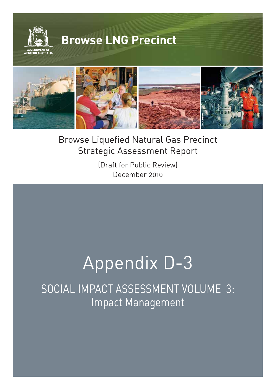



**©WOODSIDE**

(Draft for Public Review) December 2010

# Appendix D-3

SOCIAL IMPACT ASSESSMENT VOLUME 3: Impact Management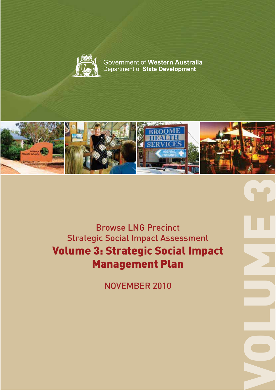

Government of **Western Australia** Department of **State Development**



Browse LNG Precinct Strategic Social Impact Assessment Volume 3: Strategie Social Impact Society and Society Article Management Plan

NOVEMBER 2010

VOLUME 3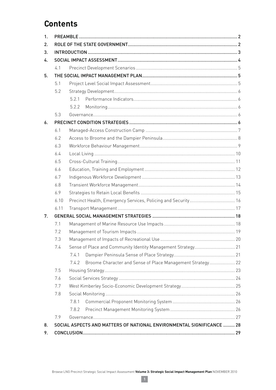# **Contents**

| 1 <sub>1</sub> |      |                                                                       |  |  |  |  |
|----------------|------|-----------------------------------------------------------------------|--|--|--|--|
| 2.             |      |                                                                       |  |  |  |  |
| 3.             |      |                                                                       |  |  |  |  |
| 4.             |      |                                                                       |  |  |  |  |
|                | 41   |                                                                       |  |  |  |  |
| 5.             |      |                                                                       |  |  |  |  |
|                | 5.1  |                                                                       |  |  |  |  |
|                | 5.2  |                                                                       |  |  |  |  |
|                |      | 521                                                                   |  |  |  |  |
|                |      | 5.2.2                                                                 |  |  |  |  |
|                | 5.3  |                                                                       |  |  |  |  |
| 6.             |      |                                                                       |  |  |  |  |
|                | 6.1  |                                                                       |  |  |  |  |
|                | 6.2  |                                                                       |  |  |  |  |
|                | 6.3  |                                                                       |  |  |  |  |
|                | 6.4  |                                                                       |  |  |  |  |
|                | 6.5  |                                                                       |  |  |  |  |
|                | 6.6  |                                                                       |  |  |  |  |
|                | 6.7  |                                                                       |  |  |  |  |
|                | 6.8  |                                                                       |  |  |  |  |
|                | 6.9  |                                                                       |  |  |  |  |
|                | 6.10 |                                                                       |  |  |  |  |
|                | 6.11 |                                                                       |  |  |  |  |
| 7.             |      |                                                                       |  |  |  |  |
|                | 7.1  |                                                                       |  |  |  |  |
|                | 7.2  |                                                                       |  |  |  |  |
|                | 73   |                                                                       |  |  |  |  |
|                | 7.4  | Sense of Place and Community Identity Management Strategy 21          |  |  |  |  |
|                |      | 7.4.1                                                                 |  |  |  |  |
|                |      | Broome Character and Sense of Place Management Strategy 22<br>7.4.2   |  |  |  |  |
|                | 7.5  |                                                                       |  |  |  |  |
|                | 7.6  |                                                                       |  |  |  |  |
|                | 7.7  |                                                                       |  |  |  |  |
|                | 7.8  |                                                                       |  |  |  |  |
|                |      | 7.8.1                                                                 |  |  |  |  |
|                |      | 7.8.2                                                                 |  |  |  |  |
|                | 7.9  |                                                                       |  |  |  |  |
| 8.             |      | SOCIAL ASPECTS AND MATTERS OF NATIONAL ENVIRONMENTAL SIGNIFICANCE  28 |  |  |  |  |
| 9.             |      |                                                                       |  |  |  |  |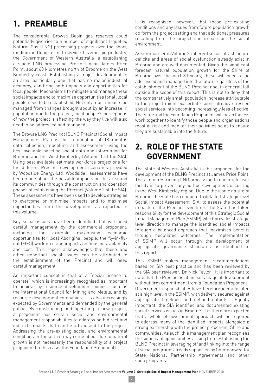# **1. PREAMBLE**

The considerable Browse Basin gas reserves could potentially give rise to a number of significant Liquefied Natural Gas (LNG) processing projects over the short, medium and long-term. To service this emerging industry, the Government of Western Australia is establishing a single LNG processing Precinct near James Price Point, about 60 kilometres north of Broome on the West Kimberley coast. Establishing a major development in an area, particularly one that has no major industrial economy, can bring both impacts and opportunities for local people. Mechanisms to mitigate and manage these social impacts and to maximise opportunities for all local people need to be established. Not only must impacts be managed from changes brought about by an increase in population due to the project, local people's perceptions of how the project is affecting the way they live will also need to be addressed and managed.

The Browse LNG Precinct (BLNG Precinct) Social Impact Management Plan is the culmination of 18 months data collection, modelling and assessment using the best available baseline social data and information for Broome and the West Kimberley (Volume 1 of the SIA). Using best available estimate workforce projections for the different Precinct development scenarios provided by Woodside Energy Ltd (Woodside), assessments have been made about the possible impacts on the area and its communities through the construction and operation phases of establishing the Precinct (Volume 2 of the SIA). These assessments have been used to develop strategies to overcome or minimise impacts and to maximise opportunities from the development as reported in this volume.

Key social issues have been identified that will need careful management by the commercial proponent, including for example maximising economic opportunities for local Aboriginal people, the fly-in-flyout (FIFO) workforce and impacts on housing availability and cost. This report acknowledges that these and other important social issues can be attributed to the establishment of the Precinct and will need careful management.

An important concept is that of a "social licence to operate" which is increasingly recognised as important to achieve by resource development bodies, such as the International Council for Mining and Metals, and by resource development companies. It is also increasingly expected by Governments and demanded by the general public. By constructing and operating a new project, a proponent has certain social and environmental management responsibilities to address both direct and indirect impacts that can be attributaed to the project. Addressing the pre-existing social and environmental conditions or those that may come about due to natural growth is not necessarily the responsibility of a project proponent (in this case, the Foundation Proponent).

It is recognised, however, that these pre-existing conditions and any issues from future population growth do form the project setting and that additional pressures resulting from the project can impact on the social environment.

As summarised in Volume 2, inherent social infrastructure deficits and areas of social dysfunction already exist in Broome and are well documented. Given the significant forecast natural population growth for the Shire of Broome over the next 30 years, these will need to be addressed and managed into the future regardless of the establishment of the BLNG Precinct and, in general, fall outside the scope of this report. This is not to deny that the comparatively small population increase attributable to the project might exacerbate some already stressed social services into becoming increasingly less effective. The State and the Foundation Proponent will nevertheless work together to identify those people and organisations most at risk and monitor their activities so as to ensure they are sustainable into the future.

# **2. ROLE OF THE STATE GOVERNMENT**

The State of Western Australia is the proponent for the development of the BLNG Precinct at James Price Point. The aim of restricting LNG processing to one multi-user facility is to prevent any ad hoc development occurring in the West Kimberley region. Due to the iconic nature of Broome, the State has conducted a detailed strategic level Social Impact Assessment (SIA) to assess the potential impacts of the Precinct over time. The State has taken responsibility for the development of this Strategic Social Impact Management Plan (SSIMP), which provides strategic level direction to manage the identified social impacts through a balanced approach that maximises benefits through negotiated outcomes. The implementation of SSIMP will occur through the development of appropriate governance structures as identified in this report.

This SSIMP makes management recommendations based on SIA best practice and has been reviewed by the SIA peer reviewer, Dr Nick Taylor . It is important to note that the Precinct is at an early stage of development without firm commitment from a Foundation Proponent . Government responsibilities have therefore been allocated at a high level in the SSIMP, with delivery secured against appropriate timelines and defined outputs. Equally important, the SIA identified and documented existing social services issues in Broome. It is therefore expected that a whole of government approach will be required to address many of the identified impacts alongside a strong partnership with the project proponent, Shire and communities. As such, this management plan recognises the significant opportunities arising from establishing the BLNG Precinct in leveraging off and linking into the range of social programs already supported by Commonwealth/ State National Partnership Agreements and other such programs.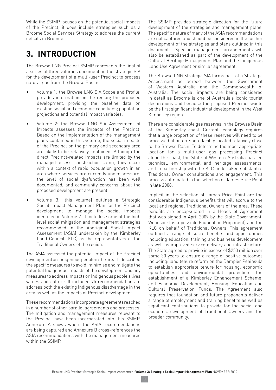While the SSIMP focuses on the potential social impacts of the Precinct, it does include strategies such as a Broome Social Services Strategy to address the current deficits in Broome.

# **3. INTRODUCTION**

The Browse LNG Precinct SSIMP represents the final of a series of three volumes documenting the strategic SIA for the development of a multi-user Precinct to process natural gas from the Browse Basin:

- Volume 1: the Browse LNG SIA Scope and Profile. provides information on the region; the proposed development, providing the baseline data on existing social and economic conditions; population projections and potential impact variables.
- Volume 2: the Browse LNG SIA Assessment of Impacts assesses the impacts of the Precinct. Based on the implementation of the management plans contained in this volume, the social impacts of the Precinct on the primary and secondary area are likely to be relatively contained. Although the direct Precinct-related impacts are limited by the managed-access construction camp, they occur within a context of rapid population growth in an area where services are currently under pressure, the level of social dysfunction has been well documented, and community concerns about the proposed development are present.
- Volume 3: (this volume) outlines a Strategic Social Impact Management Plan for the Precinct development to manage the social impacts identified in Volume 2. It includes some of the high level social mitigation and management strategies recommended in the Aboriginal Social Impact Assessment (ASIA) undertaken by the Kimberley Land Council (KLC) as the representatives of the Traditional Owners of the region.

The ASIA assessed the potential impact of the Precinct development on Indigenous people in the area. It described the specific measures to avoid, minimise and mitigate the potential Indigenous impacts of the development and any measures to address impacts on Indigenous people's lives values and culture. It included 75 recommendations to address both the existing Indigenous disadvantage in the area as well as the impacts of Precinct development.

These recommendations incorporate agreements reached in a number of other parallel agreements and processes. The mitigation and management measures relevant to the Precinct have been incorporated into this SSIMP. Annexure A shows where the ASIA recommendations are being captured and Annexure B cross-references the ASIA recommendations with the management measures within the SSIMP.

The SSIMP provides strategic direction for the future development of the strategies and management plans. The specific nature of many of the ASIA recommendations are not captured and should be considered in the further development of the strategies and plans outlined in this document. Specific management arrangements will also be established as part of the development of the Cultural Heritage Management Plan and the Indigenous Land Use Agreement or similar agreement.

The Browse LNG Strategic SIA forms part of a Strategic Assessment as agreed between the Government of Western Australia and the Commonwealth of Australia. The social impacts are being considered in detail as Broome is one of Australia's iconic tourist destinations and because the proposed Precinct would be the first significant industrial development in the West Kimberley region.

There are considerable gas reserves in the Browse Basin off the Kimberley coast. Current technology requires that a large proportion of these reserves will need to be processed at an on-shore facility located relatively close to the Browse Basin. To determine the most appropriate location for a multi-user gas processing Precinct along the coast, the State of Western Australia has led technical, environmental and heritage assessments, and in partnership with the KLC undertaken substantial Traditional Owner consultations and engagement. This process culminated in the selection of James Price Point in late 2008.

Implicit in the selection of James Price Point are the considerable Indigenous benefits that will accrue to the local and regional Traditional Owners of the area. These benefits are encapsulated in a Heads of Agreement that was signed in April 2009 by the State Government, Woodside (as a possible Foundation Proponent) and the KLC on behalf of Traditional Owners. This agreement outlined a range of social benefits and opportunities including education, training and business development as well as improved service delivery and infrastructure. The State agreed to provide in excess of \$250 million over some 30 years to ensure a range of positive outcomes including: land tenure reform on the Dampier Peninsula to establish appropriate tenure for housing, economic opportunities and environmental protection; the establishment of a Kimberley Enhancement Scheme; and Economic Development, Housing, Education and Cultural Preservation Funds. The Agreement also requires that foundation and future proponents deliver a range of employment and training benefits as well as significant contributions to provide for the social and economic development of Traditional Owners and the broader community.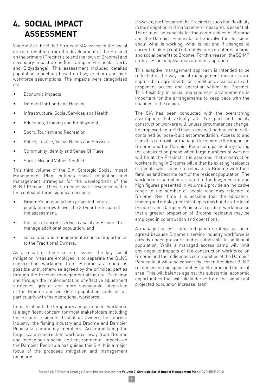# **4. SOCIAL IMPACT ASSESSMENT**

Volume 2 of the BLNG Strategic SIA assessed the social impacts resulting from the development of the Precinct on the primary (Precinct site and the town of Broome) and secondary impact areas (the Dampier Peninsula, Derby and Bidyadanga). This assessment included detailed population modelling based on low, medium and high workforce assumptions. The impacts were categorised as:

- Economic Impacts
- Demand for Land and Housing
- Infrastructure, Social Services and Health
- Education, Training and Employment
- Sport, Tourism and Recreation
- Police, Justice, Social Needs and Services
- Community Identity and Sense Of Place
- Social Mix and Values Conflict

This third volume of the SIA: Strategic Social Impact Management Plan, outlines social mitigation and management strategies for the development of the BLNG Precinct. These strategies were developed within the context of three significant issues:

- Broome's unusually high projected natural population growth over the 30 year time span of the assessment;
- the lack of current service capacity in Broome to manage additional population: and
- social and land management issues of importance to the Traditional Owners.

As a result of these current issues, the key social mitigation measure employed is to separate the BLNG construction workforce from Broome as much as possible until otherwise agreed by the principal parties through the Precinct management structure. Over time and through the implementation of effective adjustment strategies, greater and more sustainable integration of the Broome and workforce population could occur, particularly with the operational workforce.

Impacts of both the temporary and permanent workforce is a significant concern for most stakeholders including the Broome residents, Traditional Owners, the tourism industry, the fishing industry and Broome and Dampier Peninsula community members. Accommodating the large scale construction workforce away from Broome and managing its social and environmental impacts on the Dampier Peninsula has guided this SIA. It is a major focus of the proposed mitigation and management measures.

However, the lifespan of the Precinct is such that flexibility in the mitigation and management measures is essential. There must be capacity for the communities of Broome and the Dampier Peninsula to be involved in decisions about what is working, what is not and if changes to current thinking could ultimately bring greater economic and social benefits to Broome. For this reason, the SSIMP embraces an adaptive management approach.

This adaptive management approach is intended to be reflected in the way social management measures are captured in agreements or conditions associated with proponent access and operation within the Precinct. This flexibility in social management arrangements is important for the arrangements to keep pace with the changes in the region.

The SIA has been conducted with the overarching assumption that virtually all LNG port and facility construction workers will, unless circumstances change, be employed on a FIFO basis and will be housed in selfcontained purpose-built accommodation. Access to and from this camp will be managed to minimise the impact on Broome and the Dampier Peninsula, particularly during the construction phase when large numbers of workers will be at the Precinct. It is assumed that construction workers living in Broome will either be existing residents or people who choose to relocate to Broome with their families and become part of the resident population. The workforce assumptions related to the low, medium and high figures presented in Volume 2 provide an indicative range to the number of people who may relocate to Broome. Over time it is possible that the education, training and employment strategies may build up the local (Broome and Dampier Peninsula) resident workforce so that a greater proportion of Broome residents may be employed in construction and operations.

A managed access camp mitigation strategy has been agreed because Broome's service industry workforce is already under pressure and is vulnerable to additional population. While a managed access camp will limit any negative impacts of the construction workforce on Broome and the Indigenous communities of the Dampier Peninsula, it will also conversely lessen the direct BLNG related economic opportunities for Broome and the local area. This will balance against the substantial economic opportunities that will likely derive from the significant projected population increase itself.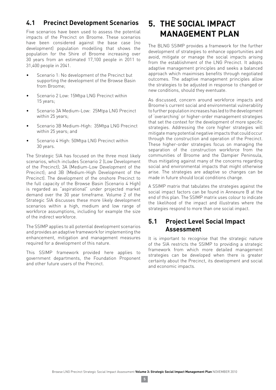# **4.1 Precinct Development Scenarios**

Five scenarios have been used to assess the potential impacts of the Precinct on Broome. These scenarios have been considered against the base case (no development) population modelling that shows the population for the Shire of Broome increasing over 30 years from an estimated 17,100 people in 2011 to 31,400 people in 2041.

- $\bullet$  Scenario 1: No development of the Precinct but supporting the development of the Browse Basin from Broome;
- Genario 2 Low: 15Mtpa LNG Precinct within 15 years;
- Scenario 3A Medium-Low: 25Mtpa LNG Precinct within 25 years;
- Scenario 3B Medium-High: 35Mtpa LNG Precinct within 25 years; and
- Scenario 4 High: 50Mtpa LNG Precinct within 30 years.

The Strategic SIA has focused on the three most likely scenarios, which includes Scenario 2 (Low Development of the Precinct); 3A (Medium-Low Development of the Precinct); and 3B (Medium-High Development of the Precinct). The development of the onshore Precinct to the full capacity of the Browse Basin (Scenario 4 High) is regarded as "aspirational" under projected market demand over the 30 year timeframe. Volume 2 of the Strategic SIA discusses these more likely development scenarios within a high, medium and low range of workforce assumptions, including for example the size of the indirect workforce.

The SSIMP applies to all potential development scenarios and provides an adaptive framework for implementing the enhancement, mitigation and management measures required for a development of this nature.

This SSIMP framework provided here applies to government departments, the Foundation Proponent and other future users of the Precinct.

# **5. THE SOCIAL IMPACT MANAGEMENT PLAN**

The BLNG SSIMP provides a framework for the further development of strategies to enhance opportunities and avoid, mitigate or manage the social impacts arising from the establishment of the LNG Precinct. It adopts adaptive management principles and seeks a balanced approach which maximises benefits through negotiated outcomes. The adaptive management principles allow the strategies to be adjusted in response to changed or new conditions, should they eventuate.

As discussed, concern around workforce impacts and Broome's current social and environmental vulnerability to further population increases has led to the development of 'overarching' or higher-order management strategies that set the context for the development of more specific strategies. Addressing the core higher strategies will mitigate many potential negative impacts that could occur through the construction and operation of the Precinct. These higher-order strategies focus on managing the separation of the construction workforce from the communities of Broome and the Dampier Peninsula, thus mitigating against many of the concerns regarding social and environmental impacts that might otherwise arise. The strategies are adaptive so changes can be made in future should local conditions change.

A SSIMP matrix that tabulates the strategies against the social impact factors can be found in Annexure B at the end of this plan. The SSIMP matrix uses colour to indicate the likelihood of the impact and illustrates where the strategies respond to more than one social impact.

# **5.1 Project Level Social Impact Assessment**

It is important to recognise that the strategic nature of the SIA restricts the SSIMP to providing a strategic framework from which more detailed management strategies can be developed when there is greater certainty about the Precinct, its development and social and economic impacts.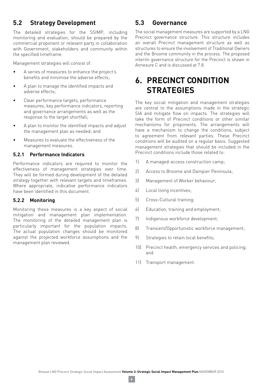# **5.2 Strategy Development**

The detailed strategies for the SSIMP, including monitoring and evaluation, should be prepared by the commercial proponent or relevant party in collaboration with Government, stakeholders and community within the specified timeframe.

Management strategies will consist of:

- A series of measures to enhance the project's benefits and minimise the adverse effects;
- A plan to manage the identified impacts and adverse effects;
- Clear performance targets, performance measures, key performance indicators, reporting and governance arrangements as well as the response to the target shortfall;
- A plan to monitor the identified impacts and adjust the management plan as needed; and
- Measures to evaluate the effectiveness of the management measures.

#### **5.2.1 Performance Indicators**

Performance indicators are required to monitor the effectiveness of management strategies over time. They will be formed during development of the detailed strategy together with relevant targets and timeframes. Where appropriate, indicative performance indicators have been identified in this document.

#### **5.2.2 Monitoring**

Monitoring these measures is a key aspect of social mitigation and management plan implementation. The monitoring of the detailed management plan is particularly important for the population impacts. The actual population changes should be monitored against the projected workforce assumptions and the management plan reviewed.

# **5.3 Governance**

The social management measures are supported by a LNG Precinct governance structure. This structure includes an overall Precinct management structure as well as structures to ensure the involvement of Traditional Owners and the Broome community in the process. The proposed interim governance structure for the Precinct is shown in Annexure C and is discussed at 7.8.

# **6. PRECINCT CONDITION STRATEGIES**

The key social mitigation and management strategies are central to the assumptions made in the strategic SIA and mitigate flow on impacts. The strategies will take the form of Precinct conditions or other similar mechanisms for proponents. The arrangements will have a mechanism to change the conditions, subject to agreement from relevant parties. These Precinct conditions will be audited on a regular basis. Suggested management strategies that should be included in the Precinct conditions include those related to:

- 1) A managed-access construction camp;
- 2) Access to Broome and Dampier Peninsula;
- 3) Management of Worker behaviour;
- 4) Local living incentives;
- 5) Cross-Cultural training;
- 6) Education, training and employment;
- 7) Indigenous workforce development;
- 8) Transient/Opportunistic workforce management;
- 9) Strategies to retain local benefits;
- 10) Precinct health, emergency services and policing; and
- 11) Transport management.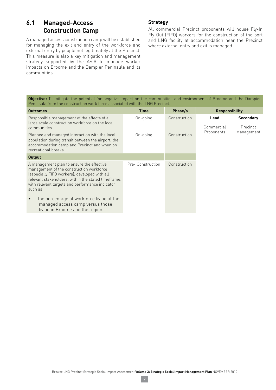# **6.1 Managed-Access Construction Camp**

A managed access construction camp will be established for managing the exit and entry of the workforce and external entry by people not legitimately at the Precinct. This measure is also a key mitigation and management strategy supported by the ASIA to manage worker impacts on Broome and the Dampier Peninsula and its communities.

#### **Strategy**

All commercial Precinct proponents will house Fly-In Fly-Out (FIFO) workers for the construction of the port and LNG facility at accommodation near the Precinct where external entry and exit is managed.

**Objective:** To mitigate the potential for negative impact on the communities and environment of Broome and the Dampier Peninsula from the construction work force associated with the LNG Precinct.

| <b>Outcomes</b>                                                                                                                                                                                                                                              | <b>Time</b>       | Phase/s      | <b>Responsibility</b> |                              |
|--------------------------------------------------------------------------------------------------------------------------------------------------------------------------------------------------------------------------------------------------------------|-------------------|--------------|-----------------------|------------------------------|
| Responsible management of the effects of a<br>large scale construction workforce on the local<br>communities.                                                                                                                                                | On-going          | Construction | Lead<br>Commercial    | <b>Secondary</b><br>Precinct |
| Planned and managed interaction with the local<br>population during transit between the airport, the<br>accommodation camp and Precinct and when on<br>recreational breaks.                                                                                  | On-going          | Construction | Proponents            | Management                   |
| <b>Output</b>                                                                                                                                                                                                                                                |                   |              |                       |                              |
| A management plan to ensure the effective<br>management of the construction workforce<br>(especially FIFO workers), developed with all<br>relevant stakeholders, within the stated timeframe,<br>with relevant targets and performance indicator<br>such as: | Pre- Construction | Construction |                       |                              |
| the percentage of workforce living at the<br>$\bullet$<br>managed access camp versus those<br>living in Broome and the region.                                                                                                                               |                   |              |                       |                              |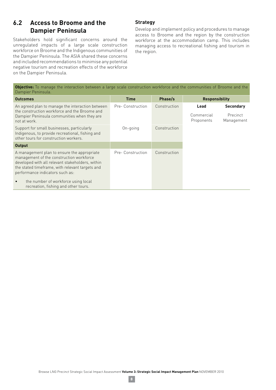## **6.2 Access to Broome and the Dampier Peninsula**

Stakeholders hold significant concerns around the unregulated impacts of a large scale construction workforce on Broome and the Indigenous communities of the Dampier Peninsula. The ASIA shared these concerns and included recommendations to minimise any potential negative tourism and recreation effects of the workforce on the Dampier Peninsula.

#### **Strategy**

Develop and implement policy and procedures to manage access to Broome and the region by the construction workforce at the accommodation camp. This includes managing access to recreational fishing and tourism in the region.

**Objective:** To manage the interaction between a large scale construction workforce and the communities of Broome and the Dampier Peninsula.

| <b>Outcomes</b>                                                                                                                                                                                                                                                                                                               | <b>Time</b>       | Phase/s      | <b>Responsibility</b>            |                                            |
|-------------------------------------------------------------------------------------------------------------------------------------------------------------------------------------------------------------------------------------------------------------------------------------------------------------------------------|-------------------|--------------|----------------------------------|--------------------------------------------|
| An agreed plan to manage the interaction between<br>the construction workforce and the Broome and<br>Dampier Peninsula communities when they are<br>not at work.                                                                                                                                                              | Pre- Construction | Construction | Lead<br>Commercial<br>Proponents | <b>Secondary</b><br>Precinct<br>Management |
| Support for small businesses, particularly<br>Indigenous, to provide recreational, fishing and<br>other tours for construction workers.                                                                                                                                                                                       | On-going          | Construction |                                  |                                            |
| <b>Output</b>                                                                                                                                                                                                                                                                                                                 |                   |              |                                  |                                            |
| A management plan to ensure the appropriate<br>management of the construction workforce<br>developed with all relevant stakeholders, within<br>the stated timeframe, with relevant targets and<br>performance indicators such as:<br>the number of workforce using local<br>$\bullet$<br>recreation, fishing and other tours. | Pre-Construction  | Construction |                                  |                                            |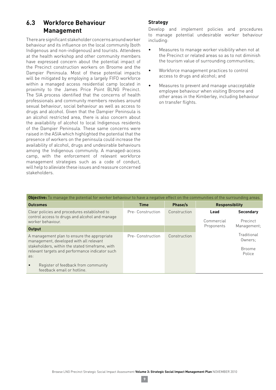# **6.3 Workforce Behaviour Management**

There are significant stakeholder concerns around worker behaviour and its influence on the local community (both Indigenous and non-indigenous) and tourists. Attendees at the health workshop and other community members have expressed concern about the potential impact of the Precinct construction workers on Broome and the Dampier Peninsula. Most of these potential impacts will be mitigated by employing a largely FIFO workforce within a managed access residential camp located in proximity to the James Price Point BLNG Precinct. The SIA process identified that the concerns of health professionals and community members revolves around sexual behaviour, social behaviour as well as access to drugs and alcohol. Given that the Dampier Peninsula is an alcohol restricted area, there is also concern about the availability of alcohol to local Indigenous residents of the Dampier Peninsula. These same concerns were raised in the ASIA which highlighted the potential that the presence of workers on the peninsula could increase the availability of alcohol, drugs and undesirable behaviours among the Indigenous community. A managed-access camp, with the enforcement of relevant workforce management strategies such as a code of conduct, will help to alleviate these issues and reassure concerned stakeholders.

#### **Strategy**

Develop and implement policies and procedures to manage potential undesirable worker behaviour including:

- $\bullet$  Measures to manage worker visibility when not at the Precinct or related areas so as to not diminish the tourism value of surrounding communities;
- Workforce management practices to control access to drugs and alcohol; and
- $\bullet$  Measures to prevent and manage unacceptable employee behaviour when visiting Broome and other areas in the Kimberley, including behaviour on transfer flights.

| <b>Objective:</b> To manage the potential for worker behaviour to have a negative effect on the communities of the surrounding areas.                                                                                                                   |                  |              |                                                    |  |  |  |  |
|---------------------------------------------------------------------------------------------------------------------------------------------------------------------------------------------------------------------------------------------------------|------------------|--------------|----------------------------------------------------|--|--|--|--|
| <b>Outcomes</b>                                                                                                                                                                                                                                         | <b>Time</b>      | Phase/s      | <b>Responsibility</b>                              |  |  |  |  |
| Clear policies and procedures established to<br>control access to drugs and alcohol and manage<br>worker behaviour.                                                                                                                                     | Pre-Construction | Construction | <b>Secondary</b><br>Lead<br>Commercial<br>Precinct |  |  |  |  |
| <b>Output</b>                                                                                                                                                                                                                                           |                  |              | Management;<br>Proponents                          |  |  |  |  |
| A management plan to ensure the appropriate<br>management, developed with all relevant<br>stakeholders, within the stated timeframe, with<br>relevant targets and performance indicator such<br>as:<br>Register of feedback from community<br>$\bullet$ | Pre-Construction | Construction | Traditional<br>Owners:<br><b>Broome</b><br>Police  |  |  |  |  |
| feedback email or hotline.                                                                                                                                                                                                                              |                  |              |                                                    |  |  |  |  |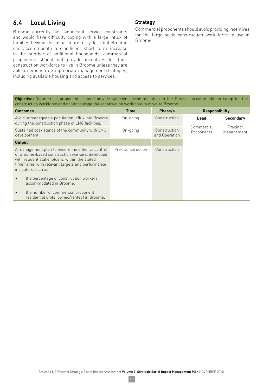# **6.4 Local Living**

Broome currently has significant service constraints and would have difficulty coping with a large influx of families beyond the usual tourism cycle. Until Broome can accommodate a significant short term increase in the number of additional households, commercial proponents should not provide incentives for their construction workforce to live in Broome unless they are able to demonstrate appropriate management strategies, including available housing and access to services.

#### **Strategy**

Commercial proponents should avoid providing incentives for the large scale construction work force to live in Broome.

|  |  |  |                                                                                        |  | <b>Objective:</b> Commercial proponents should provide sufficient accommodation in the Precinct accommodation camp for the |  |  |
|--|--|--|----------------------------------------------------------------------------------------|--|----------------------------------------------------------------------------------------------------------------------------|--|--|
|  |  |  | construction workforce and not encourage the construction workforce to move to Broome. |  |                                                                                                                            |  |  |

| <b>Outcomes</b>                                                                                                                                                                                                                  | <b>Time</b>       | Phase/s                       | <b>Responsibility</b>    |                        |
|----------------------------------------------------------------------------------------------------------------------------------------------------------------------------------------------------------------------------------|-------------------|-------------------------------|--------------------------|------------------------|
| Avoid unmanageable population influx into Broome<br>during the construction phase of LNG facilities.                                                                                                                             | On-going          | Construction                  | Lead                     | <b>Secondary</b>       |
| Sustained coexistence of the community with LNG<br>development.                                                                                                                                                                  | On-going          | Construction<br>and Operation | Commercial<br>Proponents | Precinct<br>Management |
| <b>Output</b>                                                                                                                                                                                                                    |                   |                               |                          |                        |
| A management plan to ensure the effective control<br>of Broome-based construction workers, developed<br>with relevant stakeholders, within the stated<br>timeframe, with relevant targets and performance<br>indicators such as: | Pre- Construction | Construction                  |                          |                        |
| the percentage of construction workers<br>$\bullet$<br>accommodated in Broome.                                                                                                                                                   |                   |                               |                          |                        |
| the number of commercial proponent<br>$\bullet$<br>residential units (owned/rented) in Broome.                                                                                                                                   |                   |                               |                          |                        |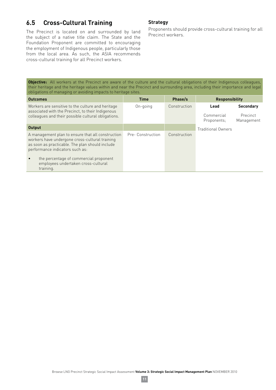# **6.5 Cross-Cultural Training**

The Precinct is located on and surrounded by land the subject of a native title claim. The State and the Foundation Proponent are committed to encouraging the employment of Indigenous people, particularly those from the local area. As such, the ASIA recommends cross-cultural training for all Precinct workers.

#### **Strategy**

Proponents should provide cross-cultural training for all Precinct workers.

**Objective:** All workers at the Precinct are aware of the culture and the cultural obligations of their Indigenous colleagues, their heritage and the heritage values within and near the Precinct and surrounding area, including their importance and legal obligations of managing or avoiding impacts to heritage sites.

| <b>Outcomes</b>                                                                                                                                                                                                                                                                                      | <b>Time</b>      | Phase/s      | <b>Responsibility</b>             |                                            |
|------------------------------------------------------------------------------------------------------------------------------------------------------------------------------------------------------------------------------------------------------------------------------------------------------|------------------|--------------|-----------------------------------|--------------------------------------------|
| Workers are sensitive to the culture and heritage<br>associated with the Precinct, to their Indigenous<br>colleagues and their possible cultural obligations.                                                                                                                                        | On-going         | Construction | Lead<br>Commercial<br>Proponents: | <b>Secondary</b><br>Precinct<br>Management |
| Output                                                                                                                                                                                                                                                                                               |                  |              | <b>Traditional Owners</b>         |                                            |
| A management plan to ensure that all construction<br>workers have undergone cross-cultural training<br>as soon as practicable. The plan should include<br>performance indicators such as:<br>the percentage of commercial proponent<br>$\bullet$<br>employees undertaken cross-cultural<br>training. | Pre-Construction | Construction |                                   |                                            |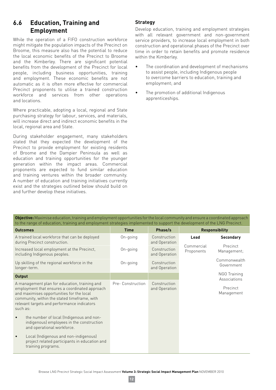## **6.6 Education, Training and Employment**

While the operation of a FIFO construction workforce might mitigate the population impacts of the Precinct on Broome, this measure also has the potential to reduce the local economic benefits of the Precinct to Broome and the Kimberley. There are significant potential benefits from the development of the Precinct for local people, including business opportunities, training and employment. These economic benefits are not automatic as it is often more effective for commercial Precinct proponents to utilise a trained construction workforce and services from other operations and locations.

Where practicable, adopting a local, regional and State purchasing strategy for labour, services, and materials, will increase direct and indirect economic benefits in the local, regional area and State.

During stakeholder engagement, many stakeholders stated that they expected the development of the Precinct to provide employment for existing residents of Broome and the Dampier Peninsula as well as education and training opportunities for the younger generation within the impact areas. Commercial proponents are expected to fund similar education and training ventures within the broader community. A number of education and training initiatives currently exist and the strategies outlined below should build on and further develop these initiatives.

## **Strategy**

Develop education, training and employment strategies with all relevant government and non-government service providers, to increase local employment in both construction and operational phases of the Precinct over time in order to retain benefits and promote residence within the Kimberley.

- The coordination and development of mechanisms to assist people, including Indigenous people to overcome barriers to education, training and employment; and
- The promotion of additional Indigenous apprenticeships.

**Objective:** Maximise education, training and employment opportunities for the local community and ensure a coordinated approach to the range of education, training and employment strategies implemented to support the development of the LNG Precinct.

| <b>Outcomes</b>                                                                                                                                                                                                                                         | <b>Time</b>      | Phase/s                       |                          | <b>Responsibility</b>        |
|---------------------------------------------------------------------------------------------------------------------------------------------------------------------------------------------------------------------------------------------------------|------------------|-------------------------------|--------------------------|------------------------------|
| A trained local workforce that can be deployed<br>during Precinct construction.                                                                                                                                                                         | On-going         | Construction<br>and Operation | Lead                     | <b>Secondary</b>             |
| Increased local employment at the Precinct,<br>including Indigenous peoples.                                                                                                                                                                            | On-going         | Construction<br>and Operation | Commercial<br>Proponents | Precinct<br>Management;      |
| Up skilling of the regional workforce in the<br>longer-term.                                                                                                                                                                                            | On-going         | Construction<br>and Operation |                          | Commonwealth<br>Government   |
| <b>Output</b>                                                                                                                                                                                                                                           |                  |                               |                          | NGO Training<br>Associations |
| A management plan for education, training and<br>employment that ensures a coordinated approach<br>and maximises opportunities for the local<br>community, within the stated timeframe, with<br>relevant targets and performance indicators<br>such as: | Pre-Construction | Construction<br>and Operation |                          | Precinct<br>Management       |
| the number of local (Indigenous and non-<br>$\bullet$<br>indigenous) employees in the construction<br>and operational workforce.                                                                                                                        |                  |                               |                          |                              |
| Local (Indigenous and non-indigenous)<br>$\bullet$<br>project related participants in education and<br>training programs.                                                                                                                               |                  |                               |                          |                              |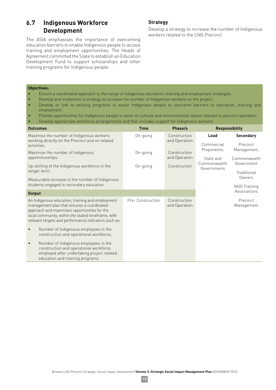# **6.7 Indigenous Workforce Development**

The ASIA emphasises the importance of overcoming education barriers to enable Indigenous people to access training and employment opportunities. The Heads of Agreement committed the State to establish an Education Development Fund to support scholarships and other training programs for Indigenous people.

#### **Strategy**

Develop a strategy to increase the number of Indigenous workers related to the LNG Precinct.

#### **Objectives:**

- Ensure a coordinated approach to the range of Indigenous education, training and employment strategies.
- Develop and implement a strategy to increase the number of Indigenous workers on the project.
- Develop or link to existing programs to assist Indigenous people to overcome barriers to education, training and employment.
- Provide opportunities for Indigenous people to work on cultural and environmental values relevant to precinct operation.
- Develop appropriate workforce arrangements and that includes support for Indigenous workers.

| <b>Outcomes</b>                                                                                                                                                                                                                                                                                                    | <b>Time</b>       | Phase/s                       | <b>Responsibility</b>       |                              |
|--------------------------------------------------------------------------------------------------------------------------------------------------------------------------------------------------------------------------------------------------------------------------------------------------------------------|-------------------|-------------------------------|-----------------------------|------------------------------|
| Maximise the number of Indigenous workers<br>working directly on the Precinct and on related                                                                                                                                                                                                                       | On-going          | Construction<br>and Operation | Lead<br>Commercial          | <b>Secondary</b><br>Precinct |
| activities.<br>Maximise the number of Indigenous<br>apprenticeships.                                                                                                                                                                                                                                               | On-going          | Construction<br>and Operation | Proponents;<br>State and    | Management;<br>Commonwealth  |
| Up skilling of the Indigenous workforce in the<br>longer term.                                                                                                                                                                                                                                                     | On-going          | Construction                  | Commonwealth<br>Governments | Government<br>Traditional    |
| Measurable increase in the number of Indigenous<br>students engaged in secondary education.                                                                                                                                                                                                                        |                   |                               |                             | Owners<br>NGO Training       |
| <b>Output</b>                                                                                                                                                                                                                                                                                                      |                   |                               |                             | Associations                 |
| An Indigenous education, training and employment<br>management plan that ensures a coordinated<br>approach and maximises opportunities for the<br>local community, within the stated timeframe, with<br>relevant targets and performance indicators such as:<br>Number of Indigenous employees in the<br>$\bullet$ | Pre- Construction | Construction<br>and Operation |                             | Precinct<br>Management       |
| construction and operational workforce;<br>Number of Indigenous employees in the<br>$\bullet$<br>construction and operational workforce<br>employed after undertaking project related<br>education and training programs.                                                                                          |                   |                               |                             |                              |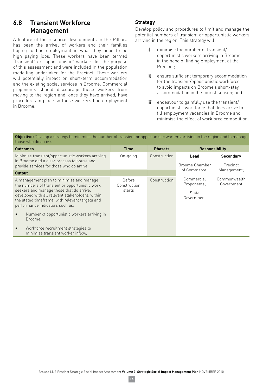# **6.8 Transient Workforce Management**

A feature of the resource developments in the Pilbara has been the arrival of workers and their families hoping to find employment in what they hope to be high paying jobs. These workers have been termed "transient" or "opportunistic" workers for the purpose of this assessment and were included in the population modelling undertaken for the Precinct. These workers will potentially impact on short-term accommodation and the existing social services in Broome. Commercial proponents should discourage these workers from moving to the region and, once they have arrived, have procedures in place so these workers find employment in Broome.

## **Strategy**

Develop policy and procedures to limit and manage the potential numbers of transient or opportunistic workers arriving in the region. This strategy will:

- (i) minimise the number of transient/ opportunistic workers arriving in Broome in the hope of finding employment at the Precinct;
- (ii) ensure sufficient temporary accommodation for the transient/opportunistic workforce to avoid impacts on Broome's short-stay accommodation in the tourist season; and
- (iii) endeavour to gainfully use the transient/ opportunistic workforce that does arrive to fill employment vacancies in Broome and minimise the effect of workforce competition.

**Objective:** Develop a strategy to minimise the number of transient or opportunistic workers arriving in the region and to manage those who do arrive.

| <b>Outcomes</b>                                                                                                                                                                                                                                                                                                                                         | <b>Time</b>                             | Phase/s      | <b>Responsibility</b>                            |                              |
|---------------------------------------------------------------------------------------------------------------------------------------------------------------------------------------------------------------------------------------------------------------------------------------------------------------------------------------------------------|-----------------------------------------|--------------|--------------------------------------------------|------------------------------|
| Minimise transient/opportunistic workers arriving<br>in Broome and a clear process to house and<br>provide services for those who do arrive.                                                                                                                                                                                                            | On-going                                | Construction | Lead<br>Broome Chamber                           | <b>Secondary</b><br>Precinct |
| <b>Output</b>                                                                                                                                                                                                                                                                                                                                           |                                         |              | of Commerce:                                     | Management;                  |
| A management plan to minimise and manage<br>the numbers of transient or opportunistic work<br>seekers and manage those that do arrive,<br>developed with all relevant stakeholders, within<br>the stated timeframe, with relevant targets and<br>performance indicators such as:<br>Number of opportunistic workers arriving in<br>$\bullet$<br>Broome. | <b>Before</b><br>Construction<br>starts | Construction | Commercial<br>Proponents;<br>State<br>Government | Commonwealth<br>Government   |
| Workforce recruitment strategies to<br>$\bullet$<br>minimise transient worker inflow.                                                                                                                                                                                                                                                                   |                                         |              |                                                  |                              |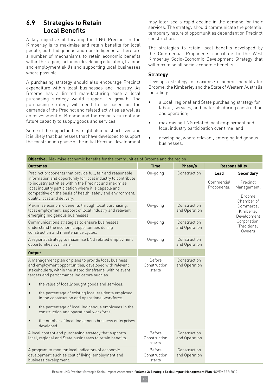## **6.9 Strategies to Retain Local Benefits**

A key objective of locating the LNG Precinct in the Kimberley is to maximise and retain benefits for local people, both Indigenous and non-Indigenous. There are a number of mechanisms to retain economic benefits within the region, including developing education, training and employment skills and supporting local businesses where possible.

A purchasing strategy should also encourage Precinct expenditure within local businesses and industry. As Broome has a limited manufacturing base a local purchasing strategy would support its growth. The purchasing strategy will need to be based on the demands of the Precinct and related activities as well as an assessment of Broome and the region's current and future capacity to supply goods and services.

Some of the opportunities might also be short-lived and it is likely that businesses that have developed to support the construction phase of the initial Precinct development may later see a rapid decline in the demand for their services. The strategy should communicate the potential temporary nature of opportunities dependant on Precinct construction.

The strategies to retain local benefits developed by the Commercial Proponents contribute to the West Kimberley Socio-Economic Development Strategy that will maximise all socio-economic benefits.

#### **Strategy**

Develop a strategy to maximise economic benefits for Broome, the Kimberley and the State of Western Australia including:

- $\bullet$  a local, regional and State purchasing strategy for labour, services, and materials during construction and operation;
- maximising LNG related local employment and local industry participation over time; and
- $\bullet$  developing, where relevant, emerging Indigenous businesses.

| <b>Objective:</b> Maximise economic benefits for the communities of Broome and the region                                                                                                                                                                                                                                                   |                                         |                               |                                   |                                                                            |  |  |
|---------------------------------------------------------------------------------------------------------------------------------------------------------------------------------------------------------------------------------------------------------------------------------------------------------------------------------------------|-----------------------------------------|-------------------------------|-----------------------------------|----------------------------------------------------------------------------|--|--|
| <b>Outcomes</b>                                                                                                                                                                                                                                                                                                                             | <b>Time</b>                             | Phase/s                       |                                   | <b>Responsibility</b>                                                      |  |  |
| Precinct proponents that provide full, fair and reasonable<br>information and opportunity for local industry to contribute<br>to industry activities within the Precinct and maximise<br>local industry participation where it is capable and<br>competitive on the basis of health, safety and environment,<br>quality, cost and delivery. | On-going                                | Construction                  | Lead<br>Commercial<br>Proponents; | <b>Secondary</b><br>Precinct<br>Management;<br><b>Broome</b><br>Chamber of |  |  |
| Maximise economic benefits through local purchasing,<br>local employment, support of local industry and relevant<br>emerging Indigenous businesses.                                                                                                                                                                                         | On-going                                | Construction<br>and Operation |                                   | Commerce:<br>Kimberley<br>Development                                      |  |  |
| Communications strategies to ensure businesses<br>understand the economic opportunities during<br>construction and maintenance cycles.                                                                                                                                                                                                      | On-going                                | Construction<br>and Operation |                                   | Corporation;<br>Traditional<br>Owners                                      |  |  |
| A regional strategy to maximise LNG related employment<br>opportunities over time.                                                                                                                                                                                                                                                          | On-going                                | Construction<br>and Operation |                                   |                                                                            |  |  |
| <b>Output</b>                                                                                                                                                                                                                                                                                                                               |                                         |                               |                                   |                                                                            |  |  |
| A management plan or plans to provide local business<br>and employment opportunities, developed with relevant<br>stakeholders, within the stated timeframe, with relevant<br>targets and performance indicators such as:                                                                                                                    | <b>Before</b><br>Construction<br>starts | Construction<br>and Operation |                                   |                                                                            |  |  |
| the value of locally bought goods and services.<br>$\bullet$                                                                                                                                                                                                                                                                                |                                         |                               |                                   |                                                                            |  |  |
| the percentage of existing local residents employed<br>$\bullet$<br>in the construction and operational workforce.                                                                                                                                                                                                                          |                                         |                               |                                   |                                                                            |  |  |
| the percentage of local Indigenous employees in the<br>$\bullet$<br>construction and operational workforce.                                                                                                                                                                                                                                 |                                         |                               |                                   |                                                                            |  |  |
| the number of local Indigenous business enterprises<br>$\bullet$<br>developed.                                                                                                                                                                                                                                                              |                                         |                               |                                   |                                                                            |  |  |
| A local content and purchasing strategy that supports<br>local, regional and State businesses to retain benefits.                                                                                                                                                                                                                           | <b>Before</b><br>Construction<br>starts | Construction<br>and Operation |                                   |                                                                            |  |  |
| A program to monitor local indicators of economic<br>development such as cost of living, employment and<br>business development.                                                                                                                                                                                                            | <b>Before</b><br>Construction<br>starts | Construction<br>and Operation |                                   |                                                                            |  |  |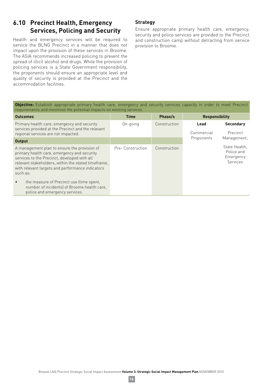# **6.10 Precinct Health, Emergency Services, Policing and Security**

Health and emergency services will be required to service the BLNG Precinct in a manner that does not impact upon the provision of these services in Broome. The ASIA recommends increased policing to prevent the spread of illicit alcohol and drugs. While the provision of policing services is a State Government responsibility, the proponents should ensure an appropriate level and quality of security is provided at the Precinct and the accommodation facilities.

#### **Strategy**

Ensure appropriate primary health care, emergency, security and police services are provided to the Precinct and construction camp without detracting from service provision to Broome.

**Objective:** Establish appropriate primary health care, emergency and security services capacity in order to meet Precinct requirements and minimise the potential impacts on existing services.

| <b>Outcomes</b>                                                                                                                                                                                                                                                    | <b>Time</b>      | Phase/s      | <b>Responsibility</b> |                                                      |
|--------------------------------------------------------------------------------------------------------------------------------------------------------------------------------------------------------------------------------------------------------------------|------------------|--------------|-----------------------|------------------------------------------------------|
| Primary health care, emergency and security<br>services provided at the Precinct and the relevant<br>regional services are not impacted.                                                                                                                           | On-going         | Construction | Lead<br>Commercial    | <b>Secondary</b><br>Precinct                         |
| <b>Output</b>                                                                                                                                                                                                                                                      |                  |              | Proponents            | Management;                                          |
| A management plan to ensure the provision of<br>primary health care, emergency and security<br>services to the Precinct, developed with all<br>relevant stakeholders, within the stated timeframe,<br>with relevant targets and performance indicators<br>such as: | Pre-Construction | Construction |                       | State Health.<br>Police and<br>Emergency<br>Services |
| the measure of Precinct use (time spent,<br>$\bullet$<br>number of incidents) of Broome health care,<br>police and emergency services.                                                                                                                             |                  |              |                       |                                                      |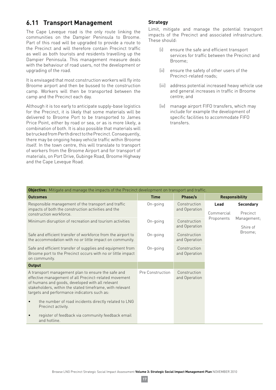# **6.11 Transport Management**

The Cape Leveque road is the only route linking the communities on the Dampier Peninsula to Broome. Part of this road will be upgraded to provide a route to the Precinct and will therefore contain Precinct traffic as well as both tourists and residents travelling up the Dampier Peninsula. This management measure deals with the behaviour of road users, not the development or upgrading of the road.

It is envisaged that most construction workers will fly into Broome airport and then be bussed to the construction camp. Workers will then be transported between the camp and the Precinct each day.

Although it is too early to anticipate supply-base logistics for the Precinct, it is likely that some materials will be delivered to Broome Port to be transported to James Price Point, either by road or sea, or as is more likely, a combination of both. It is also possible that materials will be trucked from Perth direct to the Precinct. Consequently, there may be ongoing heavy vehicle traffic within Broome itself. In the town centre, this will translate to transport of workers from the Broome Airport and for transport of materials, on Port Drive, Gubinge Road, Broome Highway and the Cape Leveque Road.

#### **Strategy**

Limit, mitigate and manage the potential transport impacts of the Precinct and associated infrastructure. These should:

- (i) ensure the safe and efficient transport services for traffic between the Precinct and Broome;
- (ii) ensure the safety of other users of the Precinct-related roads;
- (iii) address potential increased heavy vehicle use and general increases in traffic in Broome centre; and
- (iv) manage airport FIFO transfers, which may include for example the development of specific facilities to accommodate FIFO transfers.

| <b>Objective:</b> Mitigate and manage the impacts of the Precinct development on transport and traffic.                                                                                                                                                                    |                  |                               |                    |                              |                         |  |  |
|----------------------------------------------------------------------------------------------------------------------------------------------------------------------------------------------------------------------------------------------------------------------------|------------------|-------------------------------|--------------------|------------------------------|-------------------------|--|--|
| <b>Outcomes</b>                                                                                                                                                                                                                                                            | <b>Time</b>      | Phase/s                       |                    | <b>Responsibility</b>        |                         |  |  |
| Responsible management of the transport and traffic<br>impacts of both the construction activities and the<br>construction workforce.                                                                                                                                      | On-going         | Construction<br>and Operation | Lead<br>Commercial | <b>Secondary</b><br>Precinct |                         |  |  |
| Minimum disruption of recreation and tourism activities                                                                                                                                                                                                                    | On-going         | Construction<br>and Operation |                    | Proponents                   | Management;<br>Shire of |  |  |
| Safe and efficient transfer of workforce from the airport to<br>the accommodation with no or little impact on community.                                                                                                                                                   | On-going         | Construction<br>and Operation |                    | Broome:                      |                         |  |  |
| Safe and efficient transfer of supplies and equipment from<br>Broome port to the Precinct occurs with no or little impact<br>on community.                                                                                                                                 | On-going         | Construction<br>and Operation |                    |                              |                         |  |  |
| <b>Output</b>                                                                                                                                                                                                                                                              |                  |                               |                    |                              |                         |  |  |
| A transport management plan to ensure the safe and<br>effective management of all Precinct-related movement<br>of humans and goods, developed with all relevant<br>stakeholders, within the stated timeframe, with relevant<br>targets and performance indicators such as: | Pre Construction | Construction<br>and Operation |                    |                              |                         |  |  |
| the number of road incidents directly related to LNG<br>$\bullet$<br>Precinct activity.                                                                                                                                                                                    |                  |                               |                    |                              |                         |  |  |
| register of feedback via community feedback email<br>and hotline.                                                                                                                                                                                                          |                  |                               |                    |                              |                         |  |  |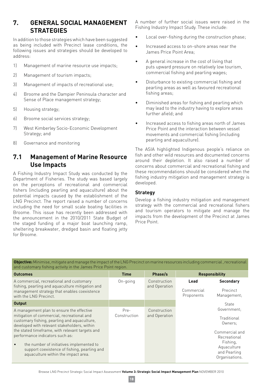## **7. GENERAL SOCIAL MANAGEMENT STRATEGIES**

In addition to those strategies which have been suggested as being included with Precinct lease conditions, the following issues and strategies should be developed to address:

- 1) Management of marine resource use impacts;
- 2) Management of tourism impacts;
- 3) Management of impacts of recreational use;
- 4) Broome and the Dampier Peninsula character and Sense of Place management strategy;
- 5) Housing strategy;
- 6) Broome social services strategy;
- 7) West Kimberley Socio-Economic Development Strategy; and
- 8) Governance and monitoring

# **7.1 Management of Marine Resource Use Impacts**

A Fishing Industry Impact Study was conducted by the Department of Fisheries. The study was based largely on the perceptions of recreational and commercial fishers (including pearling and aquaculture) about the potential impacts caused by the establishment of the LNG Precinct. The report raised a number of concerns including the need for small scale boating facilities in Broome. This issue has recently been addressed with the announcement in the 2010/2011 State Budget of the staged funding of a major boat launching ramp, sheltering breakwater, dredged basin and floating jetty for Broome.

A number of further social issues were raised in the Fishing Industry Impact Study. These include:

- Local over-fishing during the construction phase;
- Increased access to on-shore areas near the James Price Point Area;
- A general increase in the cost of living that puts upward pressure on relatively low tourism, commercial fishing and pearling wages;
- Disturbance to existing commercial fishing and pearling areas as well as favoured recreational fishing areas;
- Diminished areas for fishing and pearling which may lead to the industry having to explore areas further afield; and
- Increased access to fishing areas north of James Price Point and the interaction between vessel movements and commercial fishing (including pearling and aquaculture).

The ASIA highlighted Indigenous people's reliance on fish and other wild resources and documented concerns around their depletion. It also raised a number of concerns about commercial and recreational fishing and these recommendations should be considered when the fishing industry mitigation and management strategy is developed.

#### **Strategy**

Develop a fishing industry mitigation and management strategy with the commercial and recreational fishers and tourism operators to mitigate and manage the impacts from the development of the Precinct at James Price Point.

**Objective:** Minimise, mitigate and manage the impact of the LNG Precinct on marine resources including commercial , recreational and customary fishing activity in the James Price Point region.

| <b>Outcomes</b>                                                                                                                                                                                                                                                                                                                                                                                                               | <b>Time</b>          | Phase/s                       |                                  | <b>Responsibility</b>                                                                                                                |
|-------------------------------------------------------------------------------------------------------------------------------------------------------------------------------------------------------------------------------------------------------------------------------------------------------------------------------------------------------------------------------------------------------------------------------|----------------------|-------------------------------|----------------------------------|--------------------------------------------------------------------------------------------------------------------------------------|
| A commercial, recreational and customary<br>fishing, pearling and aquaculture mitigation and<br>management strategy that enables coexistence<br>with the LNG Precinct.                                                                                                                                                                                                                                                        | On-going             | Construction<br>and Operation | Lead<br>Commercial<br>Proponents | <b>Secondary</b><br>Precinct<br>Management;                                                                                          |
| <b>Output</b>                                                                                                                                                                                                                                                                                                                                                                                                                 |                      |                               |                                  | <b>State</b>                                                                                                                         |
| A management plan to ensure the effective<br>mitigation of commercial, recreational and<br>customary fishing, pearling and aquaculture,<br>developed with relevant stakeholders, within<br>the stated timeframe, with relevant targets and<br>performance indicators such as:<br>the number of initiatives implemented to<br>$\bullet$<br>support coexistence of fishing, pearling and<br>aquaculture within the impact area. | Pre-<br>Construction | Construction<br>and Operation |                                  | Government:<br>Traditional<br>Owners:<br>Commercial and<br>Recreational<br>Fishing,<br>Aquaculture<br>and Pearling<br>Organisations. |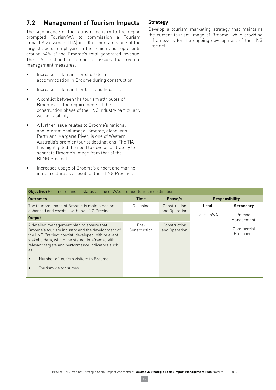# **7.2 Management of Tourism Impacts**

The significance of the tourism industry to the region prompted TourismWA to commission a Tourism Impact Assessment (TIA) in 2009. Tourism is one of the largest sector employers in the region and represents around 64% of the Broome's total generated revenue. The TIA identified a number of issues that require management measures:

- $\bullet$  lncrease in demand for short-term accommodation in Broome during construction.
- Increase in demand for land and housing.
- A conflict between the tourism attributes of Broome and the requirements of the construction phase of the LNG industry particularly worker visibility.
- A further issue relates to Broome's national and international image. Broome, along with Perth and Margaret River, is one of Western Australia's premier tourist destinations. The TIA has highlighted the need to develop a strategy to separate Broome's image from that of the BLNG Precinct.
- Increased usage of Broome's airport and marine infrastructure as a result of the BLNG Precinct.

#### **Strategy**

Develop a tourism marketing strategy that maintains the current tourism image of Broome, while providing a framework for the ongoing development of the LNG Precinct.

| Objective: Broome retains its status as one of WA's premier tourism destinations.                                                                                                                                                                                |                      |                               |                       |                          |
|------------------------------------------------------------------------------------------------------------------------------------------------------------------------------------------------------------------------------------------------------------------|----------------------|-------------------------------|-----------------------|--------------------------|
| <b>Outcomes</b>                                                                                                                                                                                                                                                  | <b>Time</b>          | Phase/s                       | <b>Responsibility</b> |                          |
| The tourism image of Broome is maintained or<br>enhanced and coexists with the LNG Precinct.                                                                                                                                                                     | On-going             | Construction<br>and Operation | Lead                  | <b>Secondary</b>         |
| Output                                                                                                                                                                                                                                                           |                      |                               | TourismWA             | Precinct<br>Management;  |
| A detailed management plan to ensure that<br>Broome's tourism industry and the development of<br>the LNG Precinct coexist, developed with relevant<br>stakeholders, within the stated timeframe, with<br>relevant targets and performance indicators such<br>as: | Pre-<br>Construction | Construction<br>and Operation |                       | Commercial<br>Proponent. |
| Number of tourism visitors to Broome                                                                                                                                                                                                                             |                      |                               |                       |                          |
| Tourism visitor survey.                                                                                                                                                                                                                                          |                      |                               |                       |                          |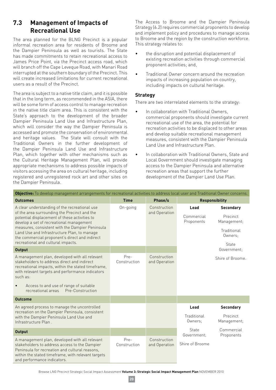# **7.3 Management of Impacts of Recreational Use**

The area planned for the BLNG Precinct is a popular informal recreation area for residents of Broome and the Dampier Peninsula as well as tourists. The State has made commitments to retain recreational access to James Price Point, via the Precinct access road, which will branch off the Cape Leveque Road, with Manari Road interrupted at the southern boundary of the Precinct. This will create increased limitations for current recreational users as a result of the Precinct.

The area is subject to a native title claim, and it is possible that in the long term, as recommended in the ASIA, there will be some form of access control to manage recreation in the native title claim area. This is consistent with the State's approach to the development of the broader Dampier Peninsula Land Use and Infrastructure Plan, which will consider the way the Dampier Peninsula is accessed and promote the conservation of environmental and heritage values. The State will consult with the Traditional Owners in the further development of the Dampier Peninsula Land Use and Infrastructure Plan, which together with other mechanisms such as the Cultural Heritage Management Plan, will provide appropriate mechanisms to address possible impacts of visitors accessing the area on cultural heritage, including registered and unregistered rock art and other sites on the Dampier Peninsula.

The Access to Broome and the Dampier Peninsula Strategy (6.2) requires commercial proponents to develop and implement policy and procedures to manage access to Broome and the region by the construction workforce. This strategy relates to:

- the disruption and potential displacement of existing recreation activities through commercial proponent activities; and,
- Traditional Owner concern around the recreation impacts of increasing population on country, including impacts on cultural heritage.

#### **Strategy**

There are two interrelated elements to the strategy:

- In collaboration with Traditional Owners. commercial proponents should investigate current recreational use of the area, the potential for recreation activities to be displaced to other areas and develop suitable recreational management measures, consistent with the Dampier Peninsula Land Use and Infrastructure Plan.
- In collaboration with Traditional Owners, State and Local Government should investigate managing access to the Dampier Peninsula and alternative recreation areas that support the further development of the Dampier Land Use Plan.

| <b>Objective:</b> To develop management arrangements for recreational activities to address local user and Traditional Owner concerns.                                                                                                                                                                                                                                               |                      |                               |                                  |                                                                                |  |  |
|--------------------------------------------------------------------------------------------------------------------------------------------------------------------------------------------------------------------------------------------------------------------------------------------------------------------------------------------------------------------------------------|----------------------|-------------------------------|----------------------------------|--------------------------------------------------------------------------------|--|--|
| <b>Outcomes</b>                                                                                                                                                                                                                                                                                                                                                                      | <b>Time</b>          | Phase/s                       |                                  | <b>Responsibility</b>                                                          |  |  |
| A clear understanding of the recreational use<br>of the area surrounding the Precinct and the<br>potential displacement of these activities to<br>develop a set of recreational management<br>measures, consistent with the Dampier Peninsula<br>Land Use and Infrastructure Plan, to manage<br>the commercial proponent's direct and indirect<br>recreational and cultural impacts. | On-going             | Construction<br>and Operation | Lead<br>Commercial<br>Proponents | <b>Secondary</b><br>Precinct<br>Management;<br>Traditional<br>Owners:<br>State |  |  |
| <b>Output</b>                                                                                                                                                                                                                                                                                                                                                                        |                      |                               |                                  | Government:                                                                    |  |  |
| A management plan, developed with all relevant<br>stakeholders to address direct and indirect<br>recreational impacts, within the stated timeframe,<br>with relevant targets and performance indicators<br>such as:<br>Access to and use of range of suitable<br>$\bullet$<br>recreational areas<br>Pre-Construction                                                                 | Pre-<br>Construction | Construction<br>and Operation |                                  | Shire of Broome.                                                               |  |  |
| <b>Outcome</b>                                                                                                                                                                                                                                                                                                                                                                       |                      |                               |                                  |                                                                                |  |  |
| An agreed process to manage the uncontrolled<br>recreation on the Dampier Peninsula, consistent<br>with the Dampier Peninsula Land Use and<br>Infrastructure Plan.                                                                                                                                                                                                                   |                      |                               | Lead<br>Traditional<br>Owners:   | <b>Secondary</b><br>Precinct<br>Management;                                    |  |  |
| <b>Output</b>                                                                                                                                                                                                                                                                                                                                                                        |                      |                               | State<br>Government:             | Commercial<br>Proponents                                                       |  |  |
| A management plan, developed with all relevant<br>stakeholders to address access to the Dampier<br>Peninsula for recreation and cultural reasons,<br>within the stated timeframe, with relevant targets<br>and performance indicators.                                                                                                                                               | Pre-<br>Construction | Construction<br>and Operation | Shire of Broome                  |                                                                                |  |  |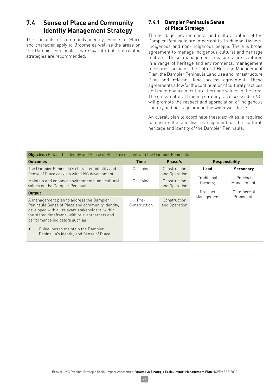# **7.4 Sense of Place and Community Identity Management Strategy**

The concepts of community identity, Sense of Place and character apply to Broome as well as the areas on the Dampier Peninsula. Two separate but interrelated strategies are recommended.

#### **7.4.1 Dampier Peninsula Sense of Place Strategy**

The heritage, environmental and cultural values of the Dampier Peninsula are important to Traditional Owners, Indigenous and non-indigenous people. There is broad agreement to manage Indigenous cultural and heritage matters. These management measures are captured in a range of heritage and environmental management measures including the Cultural Heritage Management Plan, the Dampier Peninsula Land Use and Infrastructure Plan and relevant land access agreement. These agreements allow for the continuation of cultural practices and maintenance of cultural heritage values in the area. The cross-cultural training strategy, as discussed in 6.5, will promote the respect and appreciation of Indigenous country and heritage among the wider workforce.

An overall plan to coordinate these activities is required to ensure the effective management of the cultural, heritage and identity of the Dampier Peninsula.

| <b>Objective:</b> Retain the identity and Sense of Place associated with the Dampier Peninsula.                                                                                                                                                                                                                                      |                      |                               |                        |                         |  |
|--------------------------------------------------------------------------------------------------------------------------------------------------------------------------------------------------------------------------------------------------------------------------------------------------------------------------------------|----------------------|-------------------------------|------------------------|-------------------------|--|
| <b>Outcomes</b>                                                                                                                                                                                                                                                                                                                      | <b>Time</b>          | Phase/s                       |                        | <b>Responsibility</b>   |  |
| The Dampier Peninsula's character, identity and<br>Sense of Place coexists with LNG development.                                                                                                                                                                                                                                     | On-going             | Construction<br>and Operation | Lead                   | <b>Secondary</b>        |  |
| Maintain and enhance environmental and cultural<br>values on the Dampier Peninsula.                                                                                                                                                                                                                                                  | On-going             | Construction<br>and Operation | Traditional<br>Owners: | Precinct<br>Management; |  |
| Output                                                                                                                                                                                                                                                                                                                               |                      |                               | Precinct               | Commercial              |  |
| A management plan to address the Dampier<br>Peninsula Sense of Place and community identity,<br>developed with all relevant stakeholders, within<br>the stated timeframe, with relevant targets and<br>performance indicators such as:<br>Guidelines to maintain the Dampier<br>$\bullet$<br>Peninsula's identity and Sense of Place | Pre-<br>Construction | Construction<br>and Operation | Management             | Proponents              |  |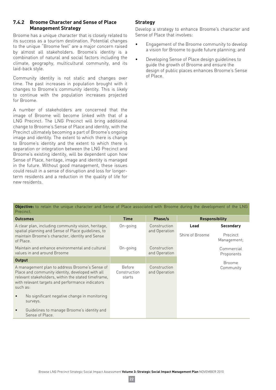#### **7.4.2 Broome Character and Sense of Place Management Strategy**

Broome has a unique character that is closely related to its success as a tourism destination. Potential changes to the unique "Broome feel" are a major concern raised by almost all stakeholders. Broome's identity is a combination of natural and social factors including the climate, geography, multicultural community, and its laid-back style.

Community identity is not static and changes over time. The past increases in population brought with it changes to Broome's community identity. This is likely to continue with the population increases projected for Broome.

A number of stakeholders are concerned that the image of Broome will become linked with that of a LNG Precinct. The LNG Precinct will bring additional change to Broome's Sense of Place and identity, with the Precinct ultimately becoming a part of Broome's ongoing image and identity. The extent to which there is change to Broome's identity and the extent to which there is separation or integration between the LNG Precinct and Broome's existing identity, will be dependent upon how Sense of Place, heritage, image and identity is managed in the future. Without good management, these issues could result in a sense of disruption and loss for longerterm residents and a reduction in the quality of life for new residents.

#### **Strategy**

Develop a strategy to enhance Broome's character and Sense of Place that involves:

- Engagement of the Broome community to develop a vision for Broome to guide future planning; and
- Developing Sense of Place design quidelines to guide the growth of Broome and ensure the design of public places enhances Broome's Sense of Place.

**Objective:** to retain the unique character and Sense of Place associated with Broome during the development of the LNG **Procinct** 

| <b>Outcomes</b>                                                                                                                                                                                                           | <b>Time</b>                      | Phase/s                       | <b>Responsibility</b>   |                          |                                             |
|---------------------------------------------------------------------------------------------------------------------------------------------------------------------------------------------------------------------------|----------------------------------|-------------------------------|-------------------------|--------------------------|---------------------------------------------|
| A clear plan, including community vision, heritage,<br>spatial planning and Sense of Place guidelines, to<br>maintain Broome's character, identity and Sense<br>of Place.                                                 | On-going                         | Construction<br>and Operation | Lead<br>Shire of Broome |                          | <b>Secondary</b><br>Precinct<br>Management; |
| Maintain and enhance environmental and cultural<br>values in and around Broome                                                                                                                                            | On-going                         | Construction<br>and Operation |                         | Commercial<br>Proponents |                                             |
| <b>Output</b>                                                                                                                                                                                                             |                                  |                               |                         | <b>Broome</b>            |                                             |
| A management plan to address Broome's Sense of<br>Place and community identity, developed with all<br>relevant stakeholders, within the stated timeframe,<br>with relevant targets and performance indicators<br>such as: | Before<br>Construction<br>starts | Construction<br>and Operation |                         | Community                |                                             |
| No significant negative change in monitoring<br>$\bullet$<br>surveys.                                                                                                                                                     |                                  |                               |                         |                          |                                             |
| Guidelines to manage Broome's identity and<br>$\bullet$<br>Sense of Place.                                                                                                                                                |                                  |                               |                         |                          |                                             |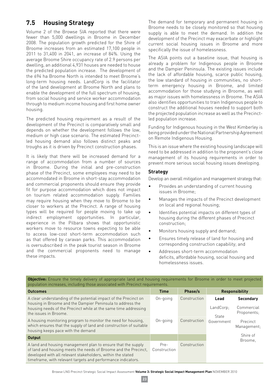# **7.5 Housing Strategy**

Volume 2 of the Browse SIA reported that there were fewer than 5,000 dwellings in Broome in December 2008. The population growth predicted for the Shire of Broome increases from an estimated 17,100 people in 2011 to 31,400 in 2041, an increase of 84%. Using the average Broome Shire occupancy rate of 2.9 persons per dwelling, an additional 4,931 houses are needed to house the predicted population increase. The development of the 694 ha Broome North is intended to meet Broome's long-term housing needs. LandCorp is the facilitator of the land development at Broome North and plans to enable the development of the full spectrum of housing, from social housing and service worker accommodation through to medium income housing and first home owner housing.

The predicted housing requirement as a result of the development of the Precinct is comparatively small and depends on whether the development follows the low, medium or high case scenario. The estimated Precinctled housing demand also follows distinct peaks and troughs as it is driven by Precinct construction phases.

It is likely that there will be increased demand for a range of accommodation from a number of sources in Broome. During the initial and pre-construction phase of the Precinct, some employees may need to be accommodated in Broome in short-stay accommodation and commercial proponents should ensure they provide fit for purpose accommodation which does not impact on tourism related accommodation supply. Families may require housing when they move to Broome to be closer to workers at the Precinct. A range of housing types will be required for people moving to take up indirect employment opportunities. In particular, experience in the Pilbara shows that opportunistic workers move to resource towns expecting to be able to access low-cost short-term accommodation such as that offered by caravan parks. This accommodation is oversubscribed in the peak tourist season in Broome and the commercial proponents need to manage these impacts.

The demand for temporary and permanent housing in Broome needs to be closely monitored so that housing supply is able to meet the demand. In addition the development of the Precinct may exacerbate or highlight current social housing issues in Broome and more specifically the issue of homelessness.

The ASIA points out a baseline issue, that housing is already a problem for Indigenous people in Broome and the Dampier Peninsula. The existing issues include the lack of affordable housing, scarce public housing, the low standard of housing in communities, no shortterm emergency housing in Broome, and limited accommodation for those studying in Broome, as well as major issues with homelessness in Broome. The ASIA also identifies opportunities to train Indigenous people to construct the additional houses needed to support both the projected population increase as well as the Precinctled population increase.

Funding for Indigenous housing in the West Kimberley is being provided under the National Partnership Agreement on Remote Indigenous Housing.

This is an issue where the existing housing landscape will need to be addressed in addition to the proponent's close management of its housing requirements in order to prevent more serious social housing issues developing.

#### **Strategy**

Develop an overall mitigation and management strategy that:

- Provides an understanding of current housing issues in Broome;
- Manages the impacts of the Precinct development on local and regional housing;
- $\bullet$  Identifies potential impacts on different types of housing during the different phases of Precinct construction;
- $\bullet$  Monitors housing supply and demand:
- Ensures timely release of land for housing and corresponding construction capability; and
- Addresses short-term accommodation deficits, affordable housing, social housing and homelessness issues.

| population increases, including those associated with Precinct requirements.                                                                                                                                                                                   |                      |              |                            |                                               |  |  |
|----------------------------------------------------------------------------------------------------------------------------------------------------------------------------------------------------------------------------------------------------------------|----------------------|--------------|----------------------------|-----------------------------------------------|--|--|
| <b>Outcomes</b>                                                                                                                                                                                                                                                | <b>Time</b>          | Phase/s      |                            | <b>Responsibility</b>                         |  |  |
| A clear understanding of the potential impact of the Precinct on<br>housing in Broome and the Dampier Peninsula to address the<br>housing needs of the Precinct while at the same time addressing<br>the issues in Broome.                                     | On-going             | Construction | Lead<br>LandCorp:<br>State | <b>Secondary</b><br>Commercial<br>Proponents; |  |  |
| A housing monitoring program to monitor the need for housing,<br>which ensures that the supply of land and construction of suitable<br>housing keeps pace with the demand                                                                                      | On-going             | Construction | Government                 | Precinct<br>Management:                       |  |  |
| Output                                                                                                                                                                                                                                                         |                      |              |                            | Shire of<br>Broome.                           |  |  |
| A land and housing management plan to ensure that the supply<br>of land and housing meets the needs of Broome and the Precinct,<br>developed with all relevant stakeholders, within the stated<br>timeframe, with relevant targets and performance indicators. | Pre-<br>Construction | Construction |                            |                                               |  |  |

**Objective:** Ensure the timely delivery of appropriate land and housing requirements for Broome in order to meet projected population increases, including those associated with Precinct requirements.

**23**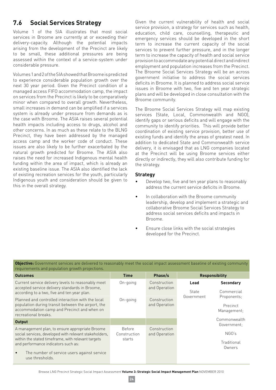# **7.6 Social Services Strategy**

Volume 1 of the SIA illustrates that most social services in Broome are currently at or exceeding their delivery-capacity. Although the potential impacts arising from the development of the Precinct are likely to be small, these additional pressures are being assessed within the context of a service-system under considerable pressure.

Volumes 1 and 2 of the SIA showed that Broome is predicted to experience considerable population growth over the next 30 year period. Given the Precinct condition of a managed access FIFO accommodation camp, the impact on services from the Precinct is likely to be comparatively minor when compared to overall growth. Nevertheless, small increases in demand can be amplified if a services system is already under pressure from demands as is the case with Broome. The ASIA raises several potential health impacts including access to drugs, alcohol and other concerns. In as much as these relate to the BLNG Precinct, they have been addressed by the managed access camp and the worker code of conduct. These issues are also likely to be further exacerbated by the natural growth predicted for Broome. The ASIA also raises the need for increased Indigenous mental health funding within the area of impact, which is already an existing baseline issue. The ASIA also identified the lack of existing recreation services for the youth, particularly Indigenous youth and consideration should be given to this in the overall strategy.

Given the current vulnerability of health and social service provision, a strategy for services such as health, education, child care, counselling, therapeutic and emergency services should be developed in the short term to increase the current capacity of the social services to prevent further pressure, and in the longer term to increase the capacity of health and social service provision to accommodate any potential direct and indirect employment and population increases from the Precinct. The Broome Social Services Strategy will be an across government initiative to address the social services deficits in Broome. It is planned to address social service issues in Broome with two, five and ten year strategic plans and will be developed in close consultation with the Broome community.

The Broome Social Services Strategy will map existing services (State, Local, Commonwealth and NGO), identify gaps or serious deficits and will engage with the community to identify priorities. This will provide better coordination of existing service provision, better use of existing funds and identify the areas of greatest need. In addition to dedicated State and Commonwealth service delivery, it is envisaged that as LNG companies located at the Precinct will be using Broome services either directly or indirectly, they will also contribute funding for the strategy.

#### **Strategy**

- Develop two, five and ten year plans to reasonably address the current service deficits in Broome.
- In collaboration with the Broome community leadership, develop and implement a strategic and collaborative Broome Social Services Strategy to address social services deficits and impacts in Broome.
- Ensure close links with the social strategies developed for the Precinct.

**Objective:** Government services are delivered to reasonably meet the social impact assessment baseline of existing community requirements and population growth projections.

| <b>Outcomes</b>                                                                                                                                                                                                                                                                       | <b>Time</b>                             | Phase/s                       |               | <b>Responsibility</b>                  |
|---------------------------------------------------------------------------------------------------------------------------------------------------------------------------------------------------------------------------------------------------------------------------------------|-----------------------------------------|-------------------------------|---------------|----------------------------------------|
| Current service delivery levels to reasonably meet<br>accepted service delivery standards in Broome,<br>according to a two, five and ten year plan.                                                                                                                                   | On-going                                | Construction<br>and Operation | Lead<br>State | <b>Secondary</b><br>Commercial         |
| Planned and controlled interaction with the local<br>population during transit between the airport, the<br>accommodation camp and Precinct and when on<br>recreational breaks.                                                                                                        | On-going                                | Construction<br>and Operation | Government    | Proponents;<br>Precinct<br>Management; |
| Output                                                                                                                                                                                                                                                                                |                                         |                               |               | Commonwealth<br>Government:            |
| A management plan, to ensure appropriate Broome<br>social services, developed with relevant stakeholders,<br>within the stated timeframe, with relevant targets<br>and performance indicators such as:<br>The number of service users against service<br>$\bullet$<br>use thresholds. | <b>Before</b><br>Construction<br>starts | Construction<br>and Operation |               | NGO's<br>Traditional<br>Owners         |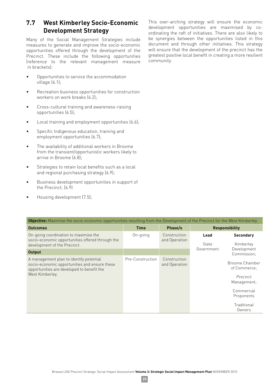# **7.7 West Kimberley Socio-Economic Development Strategy**

Many of the Social Management Strategies include measures to generate and improve the socio-economic opportunities offered through the development of the Precinct. These include the following opportunities (reference to the relevant management measure in brackets):

- Opportunities to service the accommodation village (6.1);
- Recreation business opportunities for construction workers on work breaks (6.2);
- Cross-cultural training and awareness-raising opportunities (6.5);
- Local training and employment opportunities  $(6.6)$ ;
- Specific Indigenous education, training and employment opportunities (6.7);
- The availability of additional workers in Broome from the transient/opportunistic workers likely to arrive in Broome (6.8);
- Strategies to retain local benefits such as a local and regional purchasing strategy (6.9);
- Business development opportunities in support of the Precinct; (6.9)
- Housing development  $(7.5)$ ;

This over-arching strategy will ensure the economic development opportunities are maximised by coordinating the raft of initiatives. There are also likely to be synergies between the opportunities listed in this document and through other initiatives. This strategy will ensure that the development of the precinct has the greatest positive local benefit in creating a more resilient community.

| <b>Objective:</b> Maximise the socio-economic opportunities resulting from the Development of the Precinct for the West Kimberley.                        |                  |                               |                             |                                                           |                            |
|-----------------------------------------------------------------------------------------------------------------------------------------------------------|------------------|-------------------------------|-----------------------------|-----------------------------------------------------------|----------------------------|
| <b>Outcomes</b>                                                                                                                                           | <b>Time</b>      | Phase/s                       |                             | <b>Responsibility</b>                                     |                            |
| On-going coordination to maximise the<br>socio-economic opportunities offered through the<br>development of the Precinct.                                 | On-going         | Construction<br>and Operation | Lead<br>State<br>Government | <b>Secondary</b><br>Kimberley                             |                            |
| <b>Output</b>                                                                                                                                             |                  |                               |                             |                                                           | Development<br>Commission: |
| A management plan to identify potential<br>socio-economic opportunities and ensure these<br>opportunities are developed to benefit the<br>West Kimberley. | Pre-Construction | Construction<br>and Operation |                             | Broome Chamber<br>of Commerce:<br>Precinct<br>Management; |                            |
|                                                                                                                                                           |                  |                               |                             | Commercial<br>Proponents                                  |                            |
|                                                                                                                                                           |                  |                               |                             | Traditional<br>Owners                                     |                            |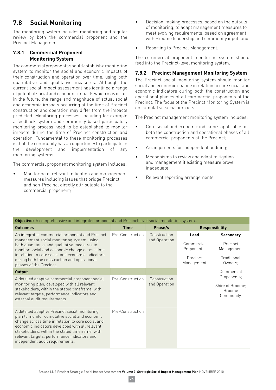# **7.8 Social Monitoring**

The monitoring system includes monitoring and regular review by both the commercial proponent and the Precinct Management.

#### **7.8.1 Commercial Proponent Monitoring System**

The commercial proponents should establish a monitoring system to monitor the social and economic impacts of their construction and operation over time, using both quantitative and qualitative measures. Although the current social impact assessment has identified a range of potential social and economic impacts which may occur in the future, the range and magnitude of actual social and economic impacts occurring at the time of Precinct construction and operation may differ from the impacts predicted. Monitoring processes, including for example a feedback system and community based participatory monitoring process need to be established to monitor impacts during the time of Precinct construction and operation. Fundamental to these monitoring processes is that the community has an opportunity to participate in the development and implementation of any monitoring systems.

The commercial proponent monitoring system includes:

Monitoring of relevant mitigation and management measures including issues that bridge Precinct and non-Precinct directly attributable to the commercial proponent;

- Decision-making processes, based on the outputs of monitoring, to adapt management measures to meet evolving requirements, based on agreement with Broome leadership and community input; and
- Reporting to Precinct Management.

The commercial proponent monitoring system should feed into the Precinct-level monitoring system.

#### **7.8.2 Precinct Management Monitoring System**

The Precinct social monitoring system should monitor social and economic change in relation to core social and economic indicators during both the construction and operational phases of all commercial proponents at the Precinct. The focus of the Precinct Monitoring System is on cumulative social impacts.

The Precinct management monitoring system includes:

- Core social and economic indicators applicable to both the construction and operational phases of all commercial proponents at the Precinct;
- Arrangements for independent auditing;
- $\bullet$  Mechanisms to review and adapt mitigation and management if existing measure prove inadequate;
- Relevant reporting arrangements.

| <b>Objective:</b> A comprehensive and integrated proponent and Precinct level social monitoring system                                                                                                                                                                                                                                         |                  |                               |                                                             |                       |                                                                |  |  |  |                                                                      |
|------------------------------------------------------------------------------------------------------------------------------------------------------------------------------------------------------------------------------------------------------------------------------------------------------------------------------------------------|------------------|-------------------------------|-------------------------------------------------------------|-----------------------|----------------------------------------------------------------|--|--|--|----------------------------------------------------------------------|
| <b>Outcomes</b>                                                                                                                                                                                                                                                                                                                                | <b>Time</b>      | Phase/s                       |                                                             | <b>Responsibility</b> |                                                                |  |  |  |                                                                      |
| An integrated commercial proponent and Precinct<br>management social monitoring system, using<br>both quantitative and qualitative measures to<br>monitor social and economic change across time<br>in relation to core social and economic indicators<br>during both the construction and operational<br>phases of the Precinct.              | Pre-Construction | Construction<br>and Operation | Lead<br>Commercial<br>Proponents;<br>Precinct<br>Management |                       |                                                                |  |  |  | <b>Secondary</b><br>Precinct<br>Management<br>Traditional<br>Owners: |
| <b>Output</b>                                                                                                                                                                                                                                                                                                                                  |                  |                               |                                                             | Commercial            |                                                                |  |  |  |                                                                      |
| A detailed adaptive commercial proponent social<br>monitoring plan, developed with all relevant<br>stakeholders, within the stated timeframe, with<br>relevant targets, performance indicators and<br>external audit requirements                                                                                                              | Pre-Construction | Construction<br>and Operation |                                                             |                       | Proponents;<br>Shire of Broome:<br><b>Broome</b><br>Community. |  |  |  |                                                                      |
| A detailed adaptive Precinct social monitoring<br>plan to monitor cumulative social and economic<br>change across time in relation to core social and<br>economic indicators developed with all relevant<br>stakeholders, within the stated timeframe, with<br>relevant targets, performance indicators and<br>independent audit requirements. | Pre-Construction |                               |                                                             |                       |                                                                |  |  |  |                                                                      |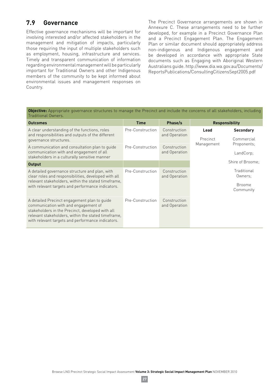## **7.9 Governance**

Effective governance mechanisms will be important for involving interested and/or affected stakeholders in the management and mitigation of impacts, particularly those requiring the input of multiple stakeholders such as employment, housing, infrastructure and services. Timely and transparent communication of information regarding environmental management will be particularly important for Traditional Owners and other Indigenous members of the community to be kept informed about environmental issues and management responses on Country.

The Precinct Governance arrangements are shown in Annexure C. These arrangements need to be further developed, for example in a Precinct Governance Plan and a Precinct Engagement Plan. The Engagement Plan or similar document should appropriately address non-indigenous and Indigenous engagement and be developed in accordance with appropriate State documents such as Engaging with Aboriginal Western Australians guide. http://www.dia.wa.gov.au/Documents/ ReportsPublications/ConsultingCitizensSept2005.pdf

| <b>ODISCUTS:</b> Tipp optique governance on actured to manage the Freemet and metade the concerno or att blancholacib, metading<br><b>Traditional Owners.</b>                                                                                        |                  |                               |                  |                                                      |
|------------------------------------------------------------------------------------------------------------------------------------------------------------------------------------------------------------------------------------------------------|------------------|-------------------------------|------------------|------------------------------------------------------|
| <b>Outcomes</b>                                                                                                                                                                                                                                      | <b>Time</b>      | Phase/s                       |                  | <b>Responsibility</b>                                |
| A clear understanding of the functions, roles<br>and responsibilities and outputs of the different<br>governance structures.                                                                                                                         | Pre-Construction | Construction<br>and Operation | Lead<br>Precinct | <b>Secondary</b><br>Commercial                       |
| A communication and consultation plan to guide<br>communication with and engagement of all<br>stakeholders in a culturally sensitive manner                                                                                                          | Pre-Construction | Construction<br>and Operation | Management       | Proponents;<br>LandCorp;                             |
| <b>Output</b>                                                                                                                                                                                                                                        |                  |                               |                  | Shire of Broome:                                     |
| A detailed governance structure and plan, with<br>clear roles and responsibilities, developed with all<br>relevant stakeholders, within the stated timeframe,<br>with relevant targets and performance indicators.                                   | Pre-Construction | Construction<br>and Operation |                  | Traditional<br>Owners:<br><b>Broome</b><br>Community |
| A detailed Precinct engagement plan to guide<br>communication with and engagement of<br>stakeholders in the Precinct, developed with all<br>relevant stakeholders, within the stated timeframe,<br>with relevant targets and performance indicators. | Pre-Construction | Construction<br>and Operation |                  |                                                      |

**Objective:** Appropriate governance structures to manage the Precinct and include the concerns of all stakeholders, including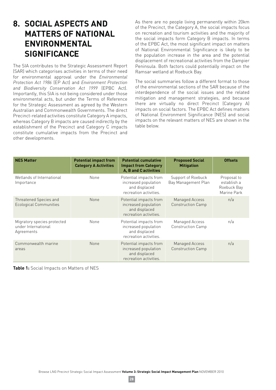# **8. SOCIAL ASPECTS AND MATTERS OF NATIONAL ENVIRONMENTAL SIGNIFICANCE**

The SIA contributes to the Strategic Assessment Report (SAR) which categorises activities in terms of their need for environmental approval under the *Environmental Protection Act 1986* (EP Act) and *Environment Protection and Biodiversity Conservation Act 1999* (EPBC Act). Importantly, this SIA is not being considered under those environmental acts, but under the Terms of Reference for the Strategic Assessment as agreed by the Western Australian and Commonwealth Governments. The direct Precinct-related activities constitute Category A impacts, whereas Category B impacts are caused indirectly by the establishment of the Precinct and Category C impacts constitute cumulative impacts from the Precinct and other developments.

As there are no people living permanently within 20km of the Precinct, the Category A, the social impacts focus on recreation and tourism activities and the majority of the social impacts form Category B impacts. In terms of the EPBC Act, the most significant impact on matters of National Environmental Significance is likely to be the population increase in the area and the potential displacement of recreational activities from the Dampier Peninsula. Both factors could potentially impact on the Ramsar wetland at Roebuck Bay.

The social summaries follow a different format to those of the environmental sections of the SAR because of the interdependence of the social issues and the related mitigation and management strategies, and because there are virtually no direct Precinct (Category A) impacts on social factors. The EPBC Act defines matters of National Environment Significance (NES) and social impacts on the relevant matters of NES are shown in the table below.

| <b>NES Matter</b>                                                | <b>Potential impact from</b><br><b>Category A Activities</b> | <b>Potential cumulative</b><br><b>Impact from Category</b><br><b>A, B and C activities</b> | <b>Proposed Social</b><br><b>Mitigation</b> | <b>Offsets</b>                                           |
|------------------------------------------------------------------|--------------------------------------------------------------|--------------------------------------------------------------------------------------------|---------------------------------------------|----------------------------------------------------------|
| Wetlands of International<br>Importance                          | None                                                         | Potential impacts from<br>increased population<br>and displaced<br>recreation activities.  | Support of Roebuck<br>Bay Management Plan   | Proposal to<br>establish a<br>Roebuck Bay<br>Marine Park |
| Threatened Species and<br><b>Ecological Communities</b>          | None                                                         | Potential impacts from<br>increased population<br>and displaced<br>recreation activities.  | Managed Access<br><b>Construction Camp</b>  | n/a                                                      |
| Migratory species protected<br>under International<br>Agreements | None                                                         | Potential impacts from<br>increased population<br>and displaced<br>recreation activities.  | Managed Access<br><b>Construction Camp</b>  | n/a                                                      |
| Commonwealth marine<br>areas                                     | <b>None</b>                                                  | Potential impacts from<br>increased population<br>and displaced<br>recreation activities.  | Managed Access<br>Construction Camp         | n/a                                                      |

**Table 1:** Social Impacts on Matters of NES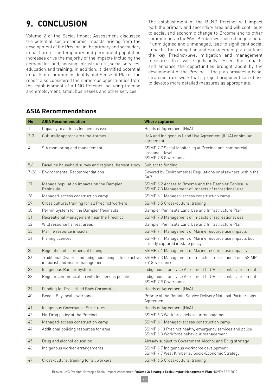# **9. CONCLUSION**

Volume 2 of the Social Impact Assessment discussed the potential socio-economic impacts arising from the development of the Precinct in the primary and secondary impact area. The temporary and permanent population increases drive the majority of the impacts including the demand for land, housing, infrastructure, social services, education and training. In addition, it identified potential impacts on community identity and Sense of Place. The report also considered the numerous opportunities from the establishment of a LNG Precinct including training and employment, small businesses and other services.

The establishment of the BLNG Precinct will impact both the primary and secondary area and will contribute to social and economic change to Broome and to other communities in the West Kimberley. These changes could, if unmitigated and unmanaged, lead to significant social impacts. This mitigation and management plan outlines the key Precinct-level mitigation and management measures that will significantly lessen the impacts and enhance the opportunities brought about by the development of the Precinct. The plan provides a base, strategic framework that a project proponent can utilise to develop more detailed measures as appropriate.

# **ASIA Recommendations**

| <b>No</b> | <b>ASIA Recommendation</b>                                                                 | <b>Where captured</b>                                                                                       |
|-----------|--------------------------------------------------------------------------------------------|-------------------------------------------------------------------------------------------------------------|
| 1         | Capacity to address Indigenous issues                                                      | Heads of Agreement (HoA)                                                                                    |
| $2 - 3$   | Culturally appropriate time-frames                                                         | HoA and Indigenous Land Use Agreement (ILUA) or similar<br>agreement                                        |
| 4         | SIA monitoring and management                                                              | SSIMP 7.7 Social Monitoring at Precinct and commercial<br>proponent level,<br>SSIMP 7.8 Governance          |
| 5,6       | Baseline household survey and regional harvest study                                       | Subject to funding                                                                                          |
| $7 - 26$  | Environmental Recommendations                                                              | Covered by Environmental Regulations or elsewhere within the<br><b>SAR</b>                                  |
| 27        | Manage population impacts on the Dampier<br>Peninsula                                      | SSIMP 6.2 Access to Broome and the Dampier Peninsula<br>SSIMP 7.3 Management of Impacts of recreational use |
| 28        | Managed-access construction camp                                                           | SSIMP 6.1 Managed-access construction camp                                                                  |
| 29        | Cross cultural training for all Precinct workers                                           | SSIMP 6.5 Cross-cultural training                                                                           |
| 30        | Permit System for the Dampier Peninsula                                                    | Dampier Peninsula Land Use and Infrastructure Plan                                                          |
| 31        | Recreational Management near the Precinct                                                  | SSIMP 7.3 Management of Impacts of recreational use                                                         |
| 32        | Wild resource harvest areas                                                                | Dampier Peninsula Land Use and Infrastructure Plan                                                          |
| 33        | Marine resource impacts                                                                    | SSIMP 7.1 Management of Marine resource use impacts                                                         |
| 34        | Fishing licences                                                                           | SSIMP 7.1 Management of Marine resource use impacts but<br>already captured in State policy                 |
| 35        | Regulation of commercial fishing                                                           | SSIMP 7.1 Management of Marine resource use impacts                                                         |
| 36        | Traditional Owners and Indigenous people to be active<br>in tourist and visitor management | SSIMP 7.3 Management of Impacts of recreational use SSIMP<br>7.9 Governance                                 |
| 37        | Indigenous Ranger System                                                                   | Indigenous Land Use Agreement (ILUA) or similar agreement                                                   |
| 38        | Regular communication with Indigenous people                                               | Indigenous Land Use Agreement (ILUA) or similar agreement<br>SSIMP 7.9 Governance                           |
| 39        | Funding for Prescribed Body Corporates                                                     | Heads of Agreement (HoA)                                                                                    |
| 40        | Beagle Bay local governance                                                                | Priority of the Remote Service Delivery National Partnerships<br>Agreement                                  |
| 41        | Indigenous Governance Structures                                                           | Heads of Agreement (HoA)                                                                                    |
| 42        | No-Drug policy at the Precinct                                                             | SSIMP 6.3 Workforce behaviour management                                                                    |
| 43        | Managed-access construction camp                                                           | SSIMP 6.1 Managed-access construction camp                                                                  |
| 44        | Additional policing resources for area                                                     | SSIMP 6.10 Precinct health, emergency services and police<br>SSIMP 6.3 Workforce behaviour management       |
| 45        | Drug and alcohol education                                                                 | Already subject to Government Alcohol and Drug strategy                                                     |
| 46        | Indigenous worker arrangements                                                             | SSIMP 6.7 Indigenous workforce development<br>SSIMP 7.7 West Kimberley Socio-Economic Strategy              |
| 47        | Cross-cultural training for all workers                                                    | SSIMP 6.5 Cross-cultural training                                                                           |

Browse LNG Precinct Strategic Social Impact Assessment **Volume 3: Strategic Social Impact Management Plan** NOVEMBER 2010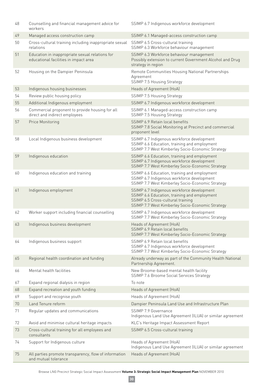| 48 | Counselling and financial management advice for<br>workers                               | SSIMP 6.7 Indigenous workforce development                                                                                                                                          |
|----|------------------------------------------------------------------------------------------|-------------------------------------------------------------------------------------------------------------------------------------------------------------------------------------|
| 49 | Managed access construction camp                                                         | SSIMP 6.1 Managed-access construction camp                                                                                                                                          |
| 50 | Cross-cultural training including inappropriate sexual<br>relations                      | SSIMP 6.5 Cross-cultural training<br>SSIMP 6.3 Workforce behaviour management                                                                                                       |
| 51 | Education in inappropriate sexual relations for<br>educational facilities in impact area | SSIMP 6.3 Workforce behaviour management<br>Possibly extension to current Government Alcohol and Drug<br>strategy in region                                                         |
| 52 | Housing on the Dampier Peninsula                                                         | Remote Communities Housing National Partnerships<br>Agreement<br>SSIMP 7.5 Housing Strategy                                                                                         |
| 53 | Indigenous housing businesses                                                            | Heads of Agreement (HoA)                                                                                                                                                            |
| 54 | Review public housing policy                                                             | SSIMP 7.5 Housing Strategy                                                                                                                                                          |
| 55 | Additional Indigenous employment                                                         | SSIMP 6.7 Indigenous workforce development                                                                                                                                          |
| 56 | Commercial proponent to provide housing for all<br>direct and indirect employees         | SSIMP 6.1 Managed-access construction camp<br>SSIMP 7.5 Housing Strategy                                                                                                            |
| 57 | Price Monitoring                                                                         | SSIMP 6.9 Retain local benefits<br>SSIMP 7.8 Social Monitoring at Precinct and commercial<br>proponent level                                                                        |
| 58 | Local Indigenous business development                                                    | SSIMP 6.7 Indigenous workforce development<br>SSIMP 6.6 Education, training and employment<br>SSIMP 7.7 West Kimberley Socio-Economic Strategy                                      |
| 59 | Indigenous education                                                                     | SSIMP 6.6 Education, training and employment<br>SSIMP 6.7 Indigenous workforce development<br>SSIMP 7.7 West Kimberley Socio-Economic Strategy                                      |
| 60 | Indigenous education and training                                                        | SSIMP 6.6 Education, training and employment<br>SSIMP 6.7 Indigenous workforce development<br>SSIMP 7.7 West Kimberley Socio-Economic Strategy                                      |
| 61 | Indigenous employment                                                                    | SSIMP 6.7 Indigenous workforce development<br>SSIMP 6.6 Education, training and employment<br>SSIMP 6.5 Cross-cultural training<br>SSIMP 7.7 West Kimberley Socio-Economic Strategy |
| 62 | Worker support including financial counselling                                           | SSIMP 6.7 Indigenous workforce development<br>SSIMP 7.7 West Kimberley Socio-Economic Strategy                                                                                      |
| 63 | Indigenous business development                                                          | Heads of Agreement (HoA)<br>SSIMP 6.9 Retain local benefits<br>SSIMP 7.7 West Kimberley Socio-Economic Strategy                                                                     |
| 64 | Indigenous business support                                                              | SSIMP 6.9 Retain local benefits<br>SSIMP 6.7 Indigenous workforce development<br>SSIMP 7.7 West Kimberley Socio-Economic Strategy                                                   |
| 65 | Regional health coordination and funding                                                 | Already underway as part of the Community Health National<br>Partnership Agreement.                                                                                                 |
| 66 | Mental health facilities                                                                 | New Broome-based mental health facility<br>SSIMP 7.6 Broome Social Services Strategy                                                                                                |
| 67 | Expand regional dialysis in region                                                       | To note                                                                                                                                                                             |
| 68 | Expand recreation and youth funding                                                      | Heads of Agreement (HoA)                                                                                                                                                            |
| 69 | Support and recognise youth                                                              | Heads of Agreement (HoA)                                                                                                                                                            |
| 70 | Land Tenure reform                                                                       | Dampier Peninsula Land Use and Infrastructure Plan                                                                                                                                  |
| 71 | Regular updates and communications                                                       | SSIMP 7.9 Governance<br>Indigenous Land Use Agreement (ILUA) or similar agreement                                                                                                   |
| 72 | Avoid and minimise cultural heritage impacts                                             | KLC's Heritage Impact Assessment Report                                                                                                                                             |
| 73 | Cross-cultural training for all employees and<br>consultants                             | SSIMP 6.5 Cross-cultural training                                                                                                                                                   |
| 74 | Support for Indigenous culture                                                           | Heads of Agreement (HoA)<br>Indigenous Land Use Agreement (ILUA) or similar agreement                                                                                               |
| 75 | All parties promote transparency, flow of information<br>and mutual tolerance            | Heads of Agreement (HoA)                                                                                                                                                            |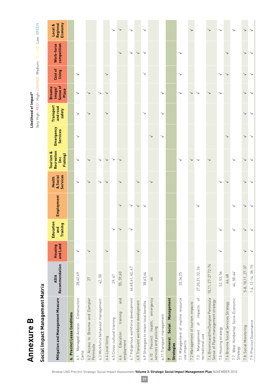# **Annexure B Likelihood of Impact\* Annexure B**

**Social Impact Management Matrix**

Social Impact Management Matrix

Likelihood of Impact\*<br>Very High: RED - High: ORANGE - Medium: YELLOW - Low: GREEN Very High: RED High: ORANGE Medium: YELLOW Low: GREEN

| Mitigation and Management Measure                                                 | Recommendation<br><b>ASIA</b> | and Land<br>Housing | Education<br>Training<br>2<br>$\bar{a}$ | Employment  | <b>Services</b><br>& Social<br>Health | Recreation<br>Tourism &<br>Fishing)<br>Linc | Emergency<br><b>Services</b> | Transport<br>and road<br>safety | Sense of<br><b>Broome</b><br>Image/<br>Place | Cost of<br>living | competition<br>Work-force | Economy<br>Regional<br>Local & |
|-----------------------------------------------------------------------------------|-------------------------------|---------------------|-----------------------------------------|-------------|---------------------------------------|---------------------------------------------|------------------------------|---------------------------------|----------------------------------------------|-------------------|---------------------------|--------------------------------|
| 6. Precinct Lease Conditions                                                      |                               |                     |                                         |             |                                       |                                             |                              |                                 |                                              |                   |                           |                                |
| Construction<br>Managed-Access<br>Camp<br>$\overline{6}$ .                        | 28,42,49                      | >                   |                                         |             | ↘                                     | ↘                                           | ↘                            | >                               | >                                            | ↘                 |                           |                                |
| Broome and Dampier<br>6.2 Access to<br>Peninsula                                  | 27                            | ↘                   |                                         |             | >                                     |                                             |                              | >                               | >                                            |                   |                           |                                |
| 6.3 Workforce behaviour management                                                | 42,50                         |                     |                                         |             | ↘                                     | ↘                                           |                              |                                 | ↘                                            |                   |                           |                                |
| 6.4 Local living                                                                  |                               | $\check{ }$         |                                         |             | $\rightarrow$                         | ↘                                           |                              | ↘                               | ↘                                            | ↘                 |                           |                                |
| 6.5 Cross-cultural training                                                       | 29, 47                        |                     |                                         |             |                                       | ↘                                           |                              |                                 |                                              |                   |                           | $\checkmark$                   |
| and<br>training<br>Education<br>employment<br>6.6                                 | 55, 59,60                     |                     |                                         | ↘           | ↘                                     | ↘                                           |                              |                                 |                                              |                   | ↘                         | ↘                              |
| 6.7 Indigenous workforce development                                              | 46,48,61,62,47                |                     |                                         | ↘           |                                       |                                             |                              |                                 |                                              |                   | ↘                         | ↘                              |
| 6.8 Transient workforce development                                               |                               | >                   |                                         | $\check{ }$ | ↘                                     |                                             |                              |                                 |                                              |                   | ↘                         |                                |
| 6.9 Strategies to retain local benefits                                           | 58,63,64                      |                     |                                         | ↘           |                                       |                                             |                              | ↘                               |                                              | ↘                 | ↘                         | ↘                              |
| emergency<br>6.10 Precinct health,<br>services and policing                       | 44                            |                     |                                         |             | ↘                                     |                                             | ↘                            |                                 |                                              |                   |                           |                                |
| 6.11 Transport management                                                         |                               |                     |                                         |             |                                       |                                             | ↘                            | ↘                               | $\check{ }$                                  |                   |                           |                                |
| Social Management<br>General<br><b>Strategies</b><br>$\overline{a}$               |                               |                     |                                         |             |                                       |                                             |                              |                                 |                                              |                   |                           |                                |
| 7.1 Management of marine resource<br>use impacts                                  | 33,34,35                      |                     |                                         |             |                                       | ↘                                           |                              |                                 | $\!\!>\!\!$                                  | ↘                 | ↘                         |                                |
| 7.2 Management of tourism impacts                                                 |                               |                     |                                         |             |                                       | ↘                                           |                              |                                 | ↘                                            |                   |                           | $\check{ }$                    |
| $\overline{\sigma}$<br>impacts<br>$\circ$ f<br>7.3 Management<br>recreational use | 27,30,31, 32, 36              |                     |                                         | >           |                                       |                                             |                              |                                 | >                                            |                   |                           |                                |
| 7.4. Broomeand the Dampier Peninsula<br>Sense of Place management strategy        | 10, 11, 27-37 72-74           |                     |                                         |             |                                       |                                             |                              |                                 | $\check{ }$                                  |                   |                           | $\check{ }$                    |
| 7.5 Housing strategy                                                              | 52, 53, 56                    | ≻                   |                                         |             | ↘                                     |                                             |                              |                                 | ↘                                            | ↘                 |                           | $\check{ }$                    |
| 7.6 Broome Social Services Strategy                                               | 66,68                         |                     |                                         |             | >                                     |                                             |                              |                                 |                                              | ↘                 |                           |                                |
| 7.7. West Kimberley Socio-Economic<br>Strategy                                    | 46, 58-64                     |                     |                                         |             |                                       |                                             |                              |                                 |                                              |                   |                           | ↘                              |
| 7.8. Social Monitoring                                                            | 5-8, 10, 11, 27-37            | $\check{ }$         |                                         | ↘           | ↘                                     | ↘                                           | ↘                            | ↘                               | ↘                                            | ↘                 | ↘                         | ↘                              |
| 7.9. Precinct Governance                                                          | $1-4, 12-14, 38, 75$          | $\check{ }$         |                                         |             |                                       |                                             |                              |                                 |                                              |                   |                           | >                              |

Browse LNG Precinct Strategic Social Impact Assessment **Volume 3: Strategic Social Impact Management Plan** NOVEMBER 2010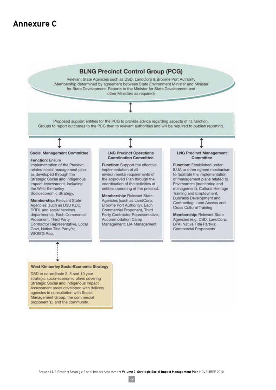# **Annexure C**

## **BLNG Precinct Control Group (PCG)**

Relevant State Agencies such as DSD, LandCorp & Broome Port Authority (Membership determined by agreement between State Environment Minister and Minister for State Development. Reports to the Minister for State Development and other Ministers as required)

Proposed support entities for the PCG to provide advice regarding aspects of its function. Groups to report outcomes to the PCG then to relevant authorities and will be required to publish reporting.

#### **Social Management Committee**

**Function: Ensure** 

implementation of the Precinctrelated social management plan as developed through the Strategic Social and Indigenous Impact Assessment, including the West Kimberley Socioeconomic Strategy,

Membership: Relevant State Agencies (such as DSD KDC, DRDL and social services departments), Each Commercial Proponent, Third Party Contractor Representative, Local Govt, Native Title Party/s; **WKSEG Rep.** 

#### **LNG Precinct Operations Coordination Committee**

Function: Support the effective implementation of all environmental requirements of the approved Plan through the coordination of the activities of entities operating at the precinct.

Membership: Relevant State Agencies (such as LandCorp, Broome Port Authority), Each Commercial Proponent, Third Party Contractor Representative, Accommodation Camp Management; LIA Management.

#### **LNG Precinct Management** Committee

Function: Established under ILUA or other agreed mechanism to facilitate the implementation of management plans related to Environment (monitoring and management), Cultural Heritage Training and Employment, Business Development and Contracting, Land Access and **Cross Cultural Training** 

Membership: Relevant State Agencies (e.g. DSD, LandCorp, BPA) Native Title Party/s; Commercial Proponents.

#### **West Kimberley Socio-Economic Strategy**

DSD to co-ordinate 2, 5 and 10 year strategic socio-economic plans covering Strategic Social and Indigenous Impact Assessment areas developed with delivery agencies in consultation with Social Management Group, the commercial proponent(s), and the community.